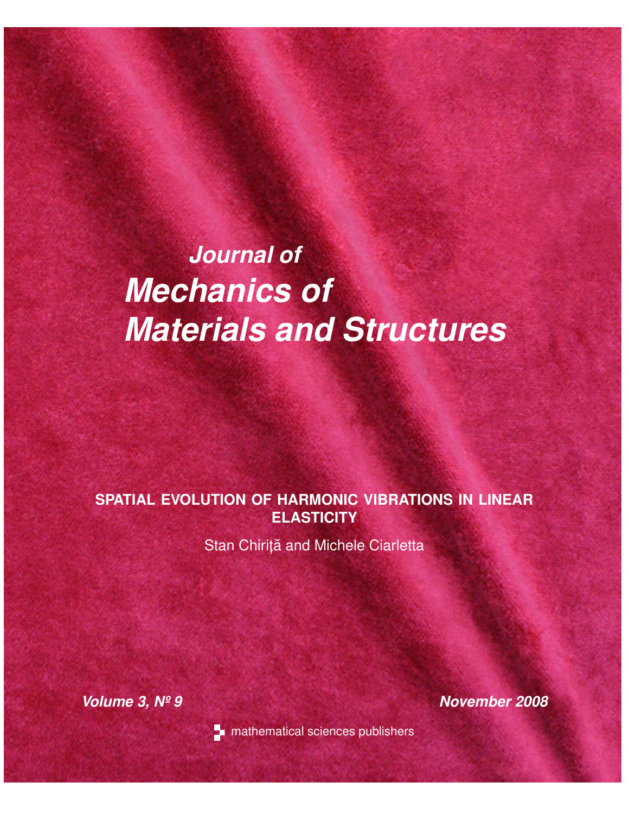# *Journal of Mechanics of Materials and Structures*

# **SPATIAL EVOLUTION OF HARMONIC VIBRATIONS IN LINEAR ELASTICITY**

Stan Chiriță and Michele Ciarletta

*Volume 3, Nº 9 November 2008*



**n** mathematical sciences publishers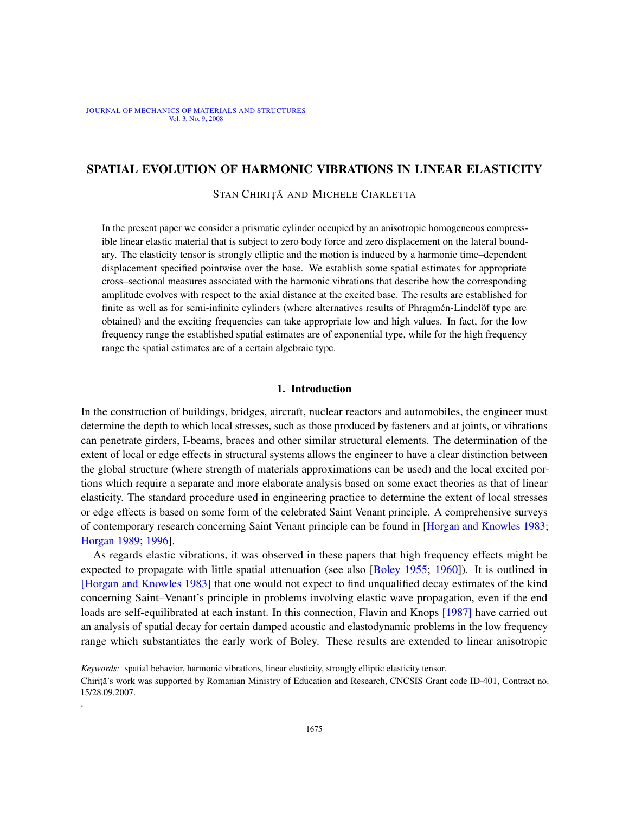#### JOURNAL OF MECHANICS OF MATERIALS AND STRUCTURES Vol. 3, No. 9, 2008

## SPATIAL EVOLUTION OF HARMONIC VIBRATIONS IN LINEAR ELASTICITY

#### STAN CHIRITĂ AND MICHELE CIARLETTA

In the present paper we consider a prismatic cylinder occupied by an anisotropic homogeneous compressible linear elastic material that is subject to zero body force and zero displacement on the lateral boundary. The elasticity tensor is strongly elliptic and the motion is induced by a harmonic time–dependent displacement specified pointwise over the base. We establish some spatial estimates for appropriate cross–sectional measures associated with the harmonic vibrations that describe how the corresponding amplitude evolves with respect to the axial distance at the excited base. The results are established for finite as well as for semi-infinite cylinders (where alternatives results of Phragmén-Lindelöf type are obtained) and the exciting frequencies can take appropriate low and high values. In fact, for the low frequency range the established spatial estimates are of exponential type, while for the high frequency range the spatial estimates are of a certain algebraic type.

### 1. Introduction

In the construction of buildings, bridges, aircraft, nuclear reactors and automobiles, the engineer must determine the depth to which local stresses, such as those produced by fasteners and at joints, or vibrations can penetrate girders, I-beams, braces and other similar structural elements. The determination of the extent of local or edge effects in structural systems allows the engineer to have a clear distinction between the global structure (where strength of materials approximations can be used) and the local excited portions which require a separate and more elaborate analysis based on some exact theories as that of linear elasticity. The standard procedure used in engineering practice [to determine the extent of l](#page-18-0)ocal stresses [o](#page-18-1)[r edge](#page-18-2) effects is based on some form of the celebrated Saint Venant principle. A comprehensive surveys of contemporary research concerning Saint Venant p[rinciple can b](#page-18-3)[e foun](#page-18-4)d in [Horgan and Knowles 1983; Horgan 1989; 1996].

[As regards el](#page-18-0)astic vibrations, it was observed in these papers that high frequency effects might be expected to propagate with little spatial attenuation (see also [Boley 1955; 1960]). It is outlined in [Horgan and Knowles 1983] that one would not expect to find unq[ualifie](#page-18-5)d decay estimates of the kind concerning Saint–Venant's principle in problems involving elastic wave propagation, even if the end loads are self-equilibrated at each instant. In this connection, Flavin and Knops [1987] have carried out an analysis of spatial decay for certain damped acoustic and elastodynamic problems in the low frequency range which substantiates the early work of Boley. These results are extended to linear anisotropic

.

*Keywords:* spatial behavior, harmonic vibrations, linear elasticity, strongly elliptic elasticity tensor.

Chirită's work was supported by Romanian Ministry of Education and Research, CNCSIS Grant code ID-401, Contract no. 15/28.09.2007.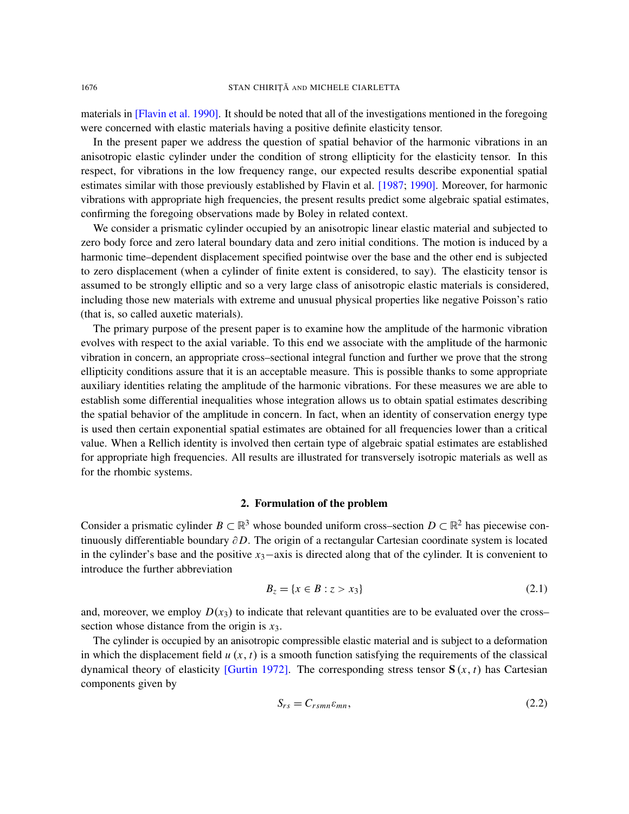materials in [Flavin et al. 1990]. It should be noted that all of the investigations mentioned in the foregoing were concerned with elastic materials having a positive definite elasticity tensor.

In the present paper we address the question of spatial behavior of the harmonic vibrations in an anisotropic elastic cylinder under the condition of s[trong](#page-18-5) [ellipti](#page-18-6)city for the elasticity tensor. In this respect, for vibrations in the low frequency range, our expected results describe exponential spatial estimates similar with those previously established by Flavin et al. [1987; 1990]. Moreover, for harmonic vibrations with appropriate high frequencies, the present results predict some algebraic spatial estimates, confirming the foregoing observations made by Boley in related context.

We consider a prismatic cylinder occupied by an anisotropic linear elastic material and subjected to zero body force and zero lateral boundary data and zero initial conditions. The motion is induced by a harmonic time–dependent displacement specified pointwise over the base and the other end is subjected to zero displacement (when a cylinder of finite extent is considered, to say). The elasticity tensor is assumed to be strongly elliptic and so a very large class of anisotropic elastic materials is considered, including those new materials with extreme and unusual physical properties like negative Poisson's ratio (that is, so called auxetic materials).

The primary purpose of the present paper is to examine how the amplitude of the harmonic vibration evolves with respect to the axial variable. To this end we associate with the amplitude of the harmonic vibration in concern, an appropriate cross–sectional integral function and further we prove that the strong ellipticity conditions assure that it is an acceptable measure. This is possible thanks to some appropriate auxiliary identities relating the amplitude of the harmonic vibrations. For these measures we are able to establish some differential inequalities whose integration allows us to obtain spatial estimates describing the spatial behavior of the amplitude in concern. In fact, when an identity of conservation energy type is used then certain exponential spatial estimates are obtained for all frequencies lower than a critical value. When a Rellich identity is involved then certain type of algebraic spatial estimates are established for appropriate high frequencies. All results are illustrated for transversely isotropic materials as well as for the rhombic systems.

#### <span id="page-2-0"></span>2. Formulation of the problem

Consider a prismatic cylinder  $B \subset \mathbb{R}^3$  whose bounded uniform cross–section  $D \subset \mathbb{R}^2$  has piecewise continuously differentiable boundary ∂D. The origin of a rectangular Cartesian coordinate system is located in the cylinder's base and the positive *x*3−axis is directed along that of the cylinder. It is convenient to introduce the further abbreviation

$$
B_z = \{x \in B : z > x_3\}
$$
 (2.1)

and, moreover, we employ  $D(x_3)$  to indicate that relevant quantities are to be evaluated over the cross– section whose distance from the origin is *x*3.

The cylinder is o[ccupied by an](#page-18-7) anisotropic compressible elastic material and is subject to a deformation in which the displacement field  $u(x, t)$  is a smooth function satisfying the requirements of the classical dynamical theory of elasticity [Gurtin 1972]. The corresponding stress tensor  $S(x, t)$  has Cartesian components given by

$$
S_{rs} = C_{rsmn}\varepsilon_{mn},\tag{2.2}
$$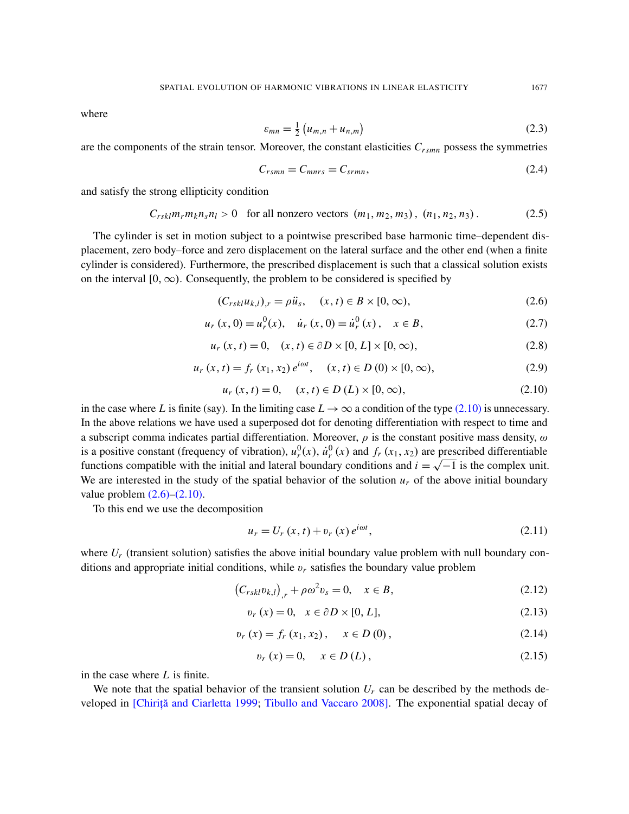where

$$
\varepsilon_{mn} = \frac{1}{2} \left( u_{m,n} + u_{n,m} \right) \tag{2.3}
$$

are the components of the strain tensor. Moreover, the constant elasticities  $C_{rsmn}$  possess the symmetries

<span id="page-3-6"></span><span id="page-3-1"></span>
$$
C_{rsmn} = C_{mnrs} = C_{srmn},\tag{2.4}
$$

and satisfy the strong ellipticity condition

$$
C_{rskl}m_r m_k n_s n_l > 0 \quad \text{for all nonzero vectors } (m_1, m_2, m_3), (n_1, n_2, n_3). \tag{2.5}
$$

The cylinder is set in motion subject to a pointwise prescribed base harmonic time–dependent displacement, zero body–force and zero displacement on the lateral surface and the other end (when a finite cylinder is considered). Furthermore, the prescribed displacement is such that a classical solution exists on the interval  $[0, \infty)$ . Consequently, the problem to be considered is specified by

$$
(C_{rsk}u_{k,l})_{,r} = \rho \ddot{u}_s, \quad (x,t) \in B \times [0,\infty), \tag{2.6}
$$

$$
u_r(x,0) = u_r^0(x), \quad \dot{u}_r(x,0) = \dot{u}_r^0(x), \quad x \in B,
$$
\n(2.7)

$$
u_r(x,t) = 0, \quad (x,t) \in \partial D \times [0,L] \times [0,\infty), \tag{2.8}
$$

$$
u_r(x, t) = f_r(x_1, x_2) e^{i\omega t}, \quad (x, t) \in D(0) \times [0, \infty), \tag{2.9}
$$

$$
u_r(x, t) = 0, \quad (x, t) \in D(L) \times [0, \infty), \tag{2.10}
$$

<span id="page-3-0"></span>in the case where *L* is finite (say). In the limiting case  $L \to \infty$  a condition of the type (2.10) is unnecessary. In the above relations we have used a superposed dot for denoting differentiation with respect to time and a subscript comma indicates partial differentiation. Moreover,  $\rho$  is the constant positive mass density,  $\omega$ is a positive constant (frequency of vibration),  $u_r^0(x)$ ,  $\dot{u}_r^0(x)$  and  $f_r(x_1, x_2)$  are prescribed differentiable f[unction](#page-3-1)[s comp](#page-3-0)atible with the initial and lateral boundary conditions and  $i = \sqrt{-1}$  is the complex unit. We are interested in the study of the spatial behavior of the solution  $u_r$  of the above initial boundary value problem  $(2.6)$ – $(2.10)$ .

To this end we use the decomposition

<span id="page-3-2"></span>
$$
u_r = U_r(x, t) + v_r(x) e^{i\omega t},
$$
\n(2.11)

<span id="page-3-5"></span><span id="page-3-3"></span>where  $U_r$  (transient solution) satisfies the above initial boundary value problem with null boundary conditions and appropriate initial conditions, while  $v_r$  satisfies the boundary value problem

$$
\left(C_{rsk}v_{k,l}\right)_{,r} + \rho\omega^2v_s = 0, \quad x \in B,\tag{2.12}
$$

$$
v_r(x) = 0, \quad x \in \partial D \times [0, L], \tag{2.13}
$$

$$
v_r(x) = f_r(x_1, x_2), \quad x \in D(0), \tag{2.14}
$$

$$
v_r(x) = 0, \quad x \in D(L), \tag{2.15}
$$

[in the case where](#page-18-8) *L* is finite[.](#page-19-0)

We note that the spatial behavior of the transient solution  $U_r$  can be described by the methods developed in [Chirit<sub>a</sub> and Ciarletta 1999; Tibullo and Vaccaro 2008]. The exponential spatial decay of

<span id="page-3-4"></span>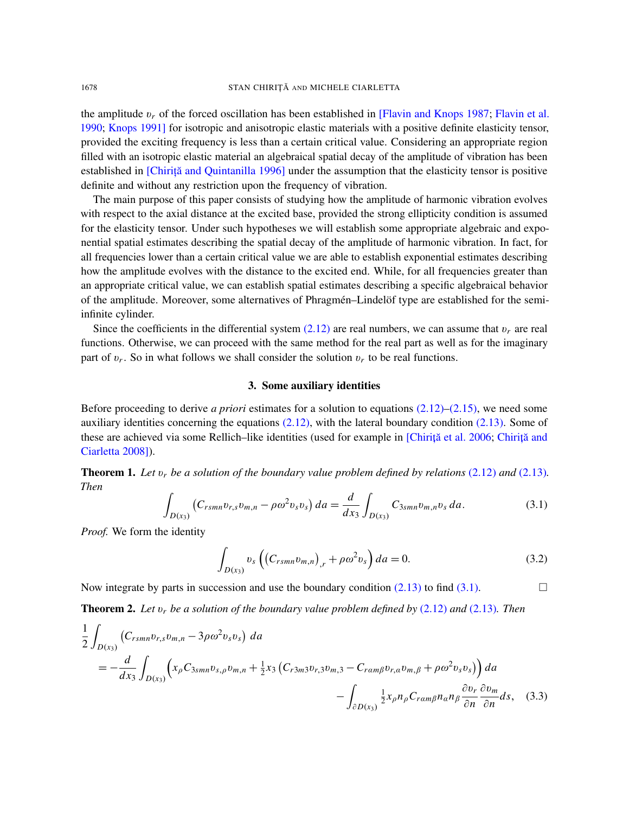the amplitude  $v_r$  of the forced oscillation has been established in [Flavin and Knops 1987; Flavin et al. 1990; Knops 1991] for isotropic and anisotropic elastic materials with a positive definite elasticity tensor, pr[ovided the exciting frequency](#page-18-10) is less than a certain critical value. Considering an appropriate region filled with an isotropic elastic material an algebraical spatial decay of the amplitude of vibration has been established in [Chirita and Quintanilla 1996] under the assumption that the elasticity tensor is positive definite and without any restriction upon the frequency of vibration.

The main purpose of this paper consists of studying how the amplitude of harmonic vibration evolves with respect to the axial distance at the excited base, provided the strong ellipticity condition is assumed for the elasticity tensor. Under such hypotheses we will establish some appropriate algebraic and exponential spatial estimates describing the spatial decay of the amplitude of harmonic vibration. In fact, for all frequencies lower than a certain critical value we are able to establish exponential estimates describing how the amplitude evolves with the distance to the excited end. While, for all frequencies greater than an appropriate critical value, we can establish spatial estimates describing a specific algebraical behavior of the amplitude. Moreover, some a[lternativ](#page-3-2)es of Phragmén–Lindel of type are established for the semiinfinite cylinder.

Since the coefficients in the differential system  $(2.12)$  are real numbers, we can assume that  $v_r$  are real functions. Otherwise, we can proceed with the same method for the real part as well as for the imaginary part of  $v_r$ . So in what follows we shall consider the solution  $v_r$  to be real functions.

#### [3](#page-3-2). Some auxiliary iden[tities](#page-3-2)

Before proceeding to derive *a priori* estimates for a solutio[n to equations](#page-18-11) (2.1[2\)–\(2.15\), we](#page-18-12) need some [au](#page-18-12)xiliary identities concerning the equations  $(2.12)$ , with the lateral boundary condition  $(2.13)$ . Some of these are achieved via some Rellich–like identities (used for example in [Chirita et a[l. 2006](#page-3-3); Chirita and Ciarletta 2008]).

<span id="page-4-0"></span>Theorem 1. *Let* v*<sup>r</sup> be a solution of the boundary value problem defined by relations* (2.12) *and* (2.13)*. Then*

$$
\int_{D(x_3)} \left( C_{rsmn} v_{r,s} v_{m,n} - \rho \omega^2 v_s v_s \right) da = \frac{d}{dx_3} \int_{D(x_3)} C_{3smn} v_{m,n} v_s da. \tag{3.1}
$$

*Proof.* We form the identity

<span id="page-4-1"></span>
$$
\int_{D(x_3)} v_s \left( \left( C_{rsmn} v_{m,n} \right)_{,r} + \rho \omega^2 v_s \right) da = 0. \tag{3.2}
$$

Now integrate by parts in succession and use the boundary condition (2.13) to find (3.1).  $\Box$ 

Theorem 2. *Let* v*<sup>r</sup> be a solution of the boundary value problem defined by* (2.12) *and* (2.13)*. Then*

$$
\frac{1}{2} \int_{D(x_3)} \left( C_{rsmn} v_{r,s} v_{m,n} - 3 \rho \omega^2 v_s v_s \right) da
$$
\n
$$
= -\frac{d}{dx_3} \int_{D(x_3)} \left( x_\rho C_{3smn} v_{s,\rho} v_{m,n} + \frac{1}{2} x_3 \left( C_{r3m3} v_{r,3} v_{m,3} - C_{ram\beta} v_{r,\alpha} v_{m,\beta} + \rho \omega^2 v_s v_s \right) \right) da
$$
\n
$$
- \int_{\partial D(x_3)} \frac{1}{2} x_\rho n_\rho C_{ram\beta} n_a n_\beta \frac{\partial v_r}{\partial n} \frac{\partial v_m}{\partial n} ds, \quad (3.3)
$$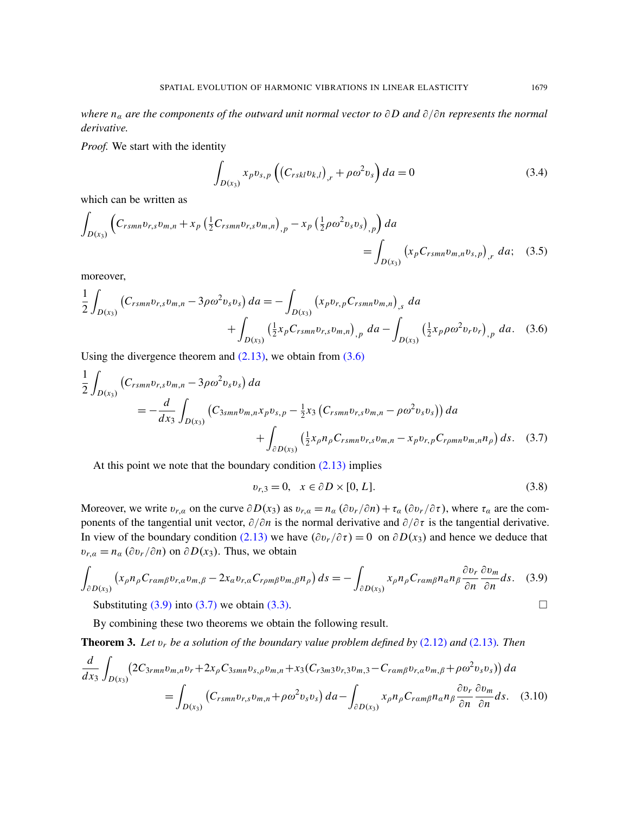*where n*<sup>α</sup> *are the components of the outward unit normal vector to* ∂ *D and* ∂/∂*n represents the normal derivative.*

*Proof.* We start with the identity

$$
\int_{D(x_3)} x_p v_{s,p} \left( \left( C_{rskl} v_{k,l} \right)_{,r} + \rho \omega^2 v_s \right) da = 0 \tag{3.4}
$$

which can be written as

<span id="page-5-0"></span>
$$
\int_{D(x_3)} \left( C_{rsmn} v_{r,s} v_{m,n} + x_p \left( \frac{1}{2} C_{rsmn} v_{r,s} v_{m,n} \right)_{,p} - x_p \left( \frac{1}{2} \rho \omega^2 v_s v_s \right)_{,p} \right) da
$$
\n
$$
= \int_{D(x_3)} \left( x_p C_{rsmn} v_{m,n} v_{s,p} \right)_{,r} da; \quad (3.5)
$$

moreover,

$$
\frac{1}{2} \int_{D(x_3)} \left( C_{rsmn} v_{r,s} v_{m,n} - 3 \rho \omega^2 v_s v_s \right) da = - \int_{D(x_3)} \left( x_p v_{r,p} C_{rsmn} v_{m,n} \right)_{,s} da \n+ \int_{D(x_3)} \left( \frac{1}{2} x_p C_{rsmn} v_{r,s} v_{m,n} \right)_{,p} da - \int_{D(x_3)} \left( \frac{1}{2} x_p \rho \omega^2 v_r v_r \right)_{,p} da. \tag{3.6}
$$

Using the divergence theorem and  $(2.13)$ , we obtain from  $(3.6)$ 

$$
\frac{1}{2} \int_{D(x_3)} \left( C_{rsmn} v_{r,s} v_{m,n} - 3 \rho \omega^2 v_s v_s \right) da
$$
\n
$$
= -\frac{d}{dx_3} \int_{D(x_3)} \left( C_{3smn} v_{m,n} x_p v_{s,p} - \frac{1}{2} x_3 \left( C_{rsmn} v_{r,s} v_{m,n} - \rho \omega^2 v_s v_s \right) \right) da
$$
\n
$$
+ \int_{\partial D(x_3)} \left( \frac{1}{2} x_\rho n_\rho C_{rsmn} v_{r,s} v_{m,n} - x_p v_{r,p} C_{r\rho mn} v_{m,n} n_\rho \right) ds. \quad (3.7)
$$

At this point we note that the boundary condition  $(2.13)$  implies

<span id="page-5-3"></span><span id="page-5-2"></span><span id="page-5-1"></span>
$$
v_{r,3} = 0, \quad x \in \partial D \times [0, L]. \tag{3.8}
$$

Moreover, we write  $v_{r,\alpha}$  [on th](#page-3-3)e curve  $\partial D(x_3)$  as  $v_{r,\alpha} = n_\alpha (\partial v_r/\partial n) + \tau_\alpha (\partial v_r/\partial \tau)$ , where  $\tau_\alpha$  are the components of the tangential unit vector,  $\partial/\partial n$  is the normal derivative and  $\partial/\partial \tau$  is the tangential derivative. In view of the boundary condition (2.13) we have  $(\partial v_r / \partial \tau) = 0$  on  $\partial D(x_3)$  and hence we deduce that  $v_{r,a} = n_a$  ( $\partial v_r / \partial n$ ) on  $\partial D(x_3)$ . Thus, we obtain

$$
\int_{\partial D(x_3)} \left( x_{\rho} n_{\rho} C_{ramp} v_{r,a} v_{m,\beta} - 2 x_a v_{r,a} C_{r\rho m\beta} v_{m,\beta} n_{\rho} \right) ds = - \int_{\partial D(x_3)} x_{\rho} n_{\rho} C_{ramp} n_{\alpha} n_{\beta} \frac{\partial v_r}{\partial n} \frac{\partial v_m}{\partial n} ds. \tag{3.9}
$$

Substituting  $(3.9)$  into  $(3.7)$  we obtain  $(3.3)$ .

By combining these two theorems we obtain the following result.

Theorem 3. *Let* v*<sup>r</sup> be a solution of the boundary value problem defined by* (2.12) *and* (2.13)*. Then d dx*<sup>3</sup> Z  $(2C_{3rmn}v_{m,n}v_r+2x_{\rho}C_{3smn}v_{s,\rho}v_{m,n}+x_3(C_{r3m3}v_{r,3}v_{m,3}-C_{r\alpha m\beta}v_{r,\alpha}v_{m,\beta}+\rho\omega^2v_{s}v_{s}))$  da

$$
D(x_3)
$$
\n
$$
= \int_{D(x_3)} \left( C_{rsmn} v_{r,s} v_{m,n} + \rho \omega^2 v_s v_s \right) da - \int_{\partial D(x_3)} x_{\rho} n_{\rho} C_{ram\beta} n_a n_{\beta} \frac{\partial v_r}{\partial n} \frac{\partial v_m}{\partial n} ds. \quad (3.10)
$$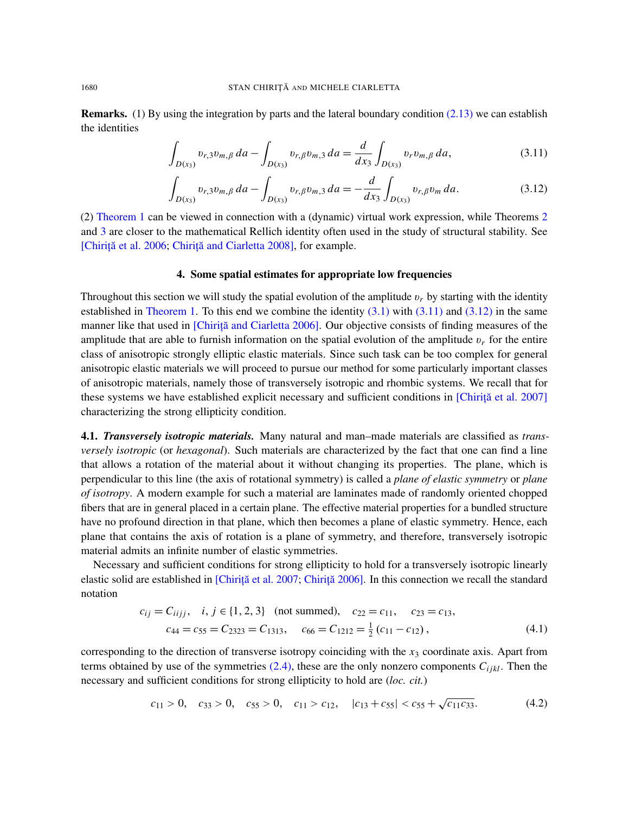Remarks. (1) By using the integration by parts and the lateral boundary condition (2.13) we can establish the identities

<span id="page-6-1"></span><span id="page-6-0"></span>
$$
\int_{D(x_3)} v_{r,3} v_{m,\beta} da - \int_{D(x_3)} v_{r,\beta} v_{m,3} da = \frac{d}{dx_3} \int_{D(x_3)} v_r v_{m,\beta} da,
$$
\n(3.11)

$$
\int_{D(x_3)} v_{r,3} v_{m,\beta} da - \int_{D(x_3)} v_{r,\beta} v_{m,3} da = -\frac{d}{dx_3} \int_{D(x_3)} v_{r,\beta} v_m da.
$$
\n(3.12)

(2) [The](#page-18-11)orem 1 [can be viewed in co](#page-18-12)nnection with a (dynamic) virtual work expression, while Theorems 2 and 3 are closer to the mathematical Rellich identity often used in the study of structural stability. See [Chirită et al. 2006; Chirită and Ciarletta 2008], for example.

#### 4. Some spatial estimates f[or app](#page-4-0)ropr[iate low](#page-6-0) fr[equenc](#page-6-1)ies

Throughout t[his section we will study the](#page-18-13) spatial evolution of the amplitude  $v_r$  by starting with the identity established in Theorem 1. To this end we combine the identity  $(3.1)$  with  $(3.11)$  and  $(3.12)$  in the same manner like that used in [Chirita and Ciarletta 2006]. Our objective consists of finding measures of the amplitude that are able to furnish information on the spatial evolution of the amplitude  $v_r$  for the entire class of anisotropic strongly elliptic elastic materials. Since such task can be too complex for general anisotropic elastic materials we will proceed to pursue our method for so[me particularly imp](#page-18-14)ortant classes of anisotropic materials, namely those of transversely isotropic and rhombic systems. We recall that for these systems we have established explicit necessary and sufficient conditions in [Chirita et al. 2007] characterizing the strong ellipticity condition.

<span id="page-6-3"></span>4.1. *Transversely isotropic materials.* Many natural and man–made materials are classified as *transversely isotropic* (or *hexagonal*). Such materials are characterized by the fact that one can find a line that allows a rotation of the material about it without changing its properties. The plane, which is perpendicular to this line (the axis of rotational symmetry) is called a *plane of elastic symmetry* or *plane of isotropy*. A modern example for such a material are laminates made of randomly oriented chopped fibers that are in general placed in a certain plane. The effective material properties for a bundled structure have no profound direction in that plane, which then becomes a plane of elastic symmetry. Hence, each plane that contains the axis of rotation is a plane of symmetry, and therefore, transversely isotropic material admits a[n infinite number o](#page-18-14)[f elastic symm](#page-18-15)etries.

<span id="page-6-2"></span>Necessary and sufficient conditions for strong ellipticity to hold for a transversely isotropic linearly elastic solid are established in  $[Chiri\ddot{\alpha}$  et al. 2007; Chirità 2006]. In this connection we recall the standard notation

$$
c_{ij} = C_{iijj}, \quad i, j \in \{1, 2, 3\} \quad \text{(not summed)}, \quad c_{22} = c_{11}, \quad c_{23} = c_{13},
$$
\n
$$
c_{44} = c_{55} = C_{2323} = C_{1313}, \quad c_{66} = C_{1212} = \frac{1}{2} (c_{11} - c_{12}), \tag{4.1}
$$

corresponding to the direction of transverse isotropy coinciding with the  $x_3$  coordinate axis. Apart from terms obtained by use of the symmetries  $(2.4)$ , these are the only nonzero components  $C_{ijkl}$ . Then the necessary and sufficient conditions for strong ellipticity to hold are (*loc. cit.*)

$$
c_{11} > 0, \quad c_{33} > 0, \quad c_{55} > 0, \quad c_{11} > c_{12}, \quad |c_{13} + c_{55}| < c_{55} + \sqrt{c_{11}c_{33}}.
$$
 (4.2)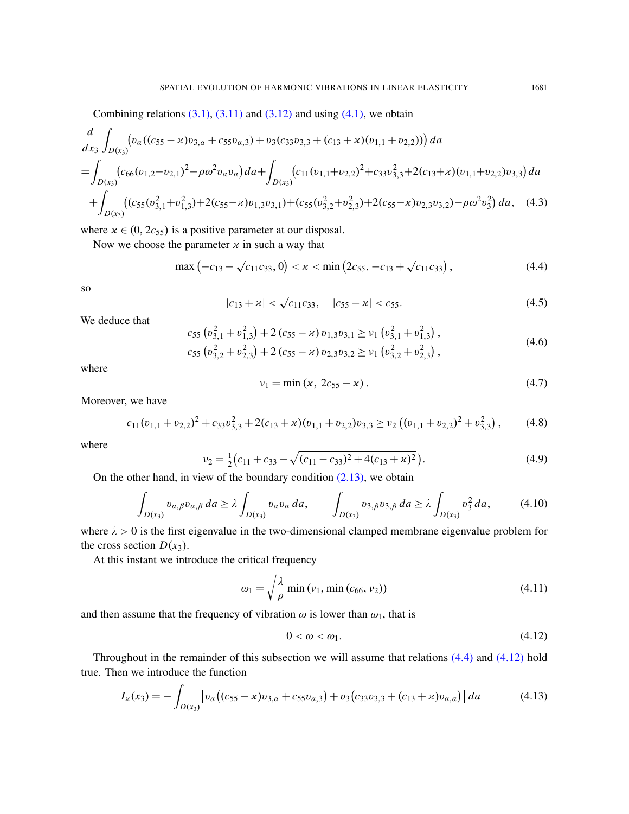Combining relations  $(3.1)$ ,  $(3.11)$  and  $(3.12)$  and using  $(4.1)$ , we obtain

$$
\frac{d}{dx_3} \int_{D(x_3)} \left( v_a \left( (c_{55} - x) v_{3,a} + c_{55} v_{a,3} \right) + v_3 (c_{33} v_{3,3} + (c_{13} + x) (v_{1,1} + v_{2,2})) \right) da
$$
\n
$$
= \int_{D(x_3)} \left( c_{66} (v_{1,2} - v_{2,1})^2 - \rho \omega^2 v_a v_a \right) da + \int_{D(x_3)} \left( c_{11} (v_{1,1} + v_{2,2})^2 + c_{33} v_{3,3}^2 + 2 (c_{13} + x) (v_{1,1} + v_{2,2}) v_{3,3} \right) da
$$
\n
$$
+ \int_{D(x_3)} \left( \left( c_{55} (v_{3,1}^2 + v_{1,3}^2) + 2 (c_{55} - x) v_{1,3} v_{3,1} \right) + \left( c_{55} (v_{3,2}^2 + v_{2,3}^2) + 2 (c_{55} - x) v_{2,3} v_{3,2} \right) - \rho \omega^2 v_3^2 \right) da, \quad (4.3)
$$

where  $x \in (0, 2c_{55})$  is a positive parameter at our disposal.

Now we choose the parameter  $\alpha$  in such a way that

$$
\max(-c_{13}-\sqrt{c_{11}c_{33}},0) < \varkappa < \min(2c_{55}, -c_{13}+\sqrt{c_{11}c_{33}}),\tag{4.4}
$$

so

<span id="page-7-1"></span><span id="page-7-0"></span>
$$
|c_{13} + \varkappa| < \sqrt{c_{11}c_{33}}, \quad |c_{55} - \varkappa| < c_{55}.\tag{4.5}
$$

We deduce that

$$
c_{55} (v_{3,1}^2 + v_{1,3}^2) + 2 (c_{55} - \varkappa) v_{1,3} v_{3,1} \ge v_1 (v_{3,1}^2 + v_{1,3}^2),
$$
  
\n
$$
c_{55} (v_{3,2}^2 + v_{2,3}^2) + 2 (c_{55} - \varkappa) v_{2,3} v_{3,2} \ge v_1 (v_{3,2}^2 + v_{2,3}^2),
$$
\n(4.6)

where

<span id="page-7-5"></span>
$$
\nu_1 = \min(x, \, 2c_{55} - x). \tag{4.7}
$$

Moreover, we have

$$
c_{11}(v_{1,1} + v_{2,2})^2 + c_{33}v_{3,3}^2 + 2(c_{13} + \varkappa)(v_{1,1} + v_{2,2})v_{3,3} \ge v_2((v_{1,1} + v_{2,2})^2 + v_{3,3}^2), \qquad (4.8)
$$

where

$$
\nu_2 = \frac{1}{2} \left( c_{11} + c_{33} - \sqrt{(c_{11} - c_{33})^2 + 4(c_{13} + \varkappa)^2} \right). \tag{4.9}
$$

On the other hand, in view of the boundary condition  $(2.13)$ , we obtain

$$
\int_{D(x_3)} v_{\alpha,\beta} v_{\alpha,\beta} \, d\alpha \ge \lambda \int_{D(x_3)} v_{\alpha} v_{\alpha} \, d\alpha, \qquad \int_{D(x_3)} v_{3,\beta} v_{3,\beta} \, d\alpha \ge \lambda \int_{D(x_3)} v_3^2 \, d\alpha, \tag{4.10}
$$

where  $\lambda > 0$  is the first eigenvalue in the two-dimensional clamped membrane eigenvalue problem for the cross section  $D(x_3)$ .

At this instant we introduce the critical frequency

<span id="page-7-4"></span><span id="page-7-3"></span>
$$
\omega_1 = \sqrt{\frac{\lambda}{\rho} \min(\nu_1, \min(c_{66}, \nu_2))}
$$
\n(4.11)

and then assume that the frequency of vibration  $\omega$  is lower than  $\omega_1$ , t[hat is](#page-7-0)

<span id="page-7-2"></span>
$$
0 < \omega < \omega_1. \tag{4.12}
$$

Throughout in the remainder of this subsection we will assume that relations (4.4) and (4.12) hold true. Then we introduce the function

$$
I_{\varkappa}(x_3) = -\int_{D(x_3)} \left[ v_{\alpha} \left( (c_{55} - \varkappa) v_{3,\alpha} + c_{55} v_{\alpha,3} \right) + v_3 \left( c_{33} v_{3,3} + (c_{13} + \varkappa) v_{\alpha,\alpha} \right) \right] da \tag{4.13}
$$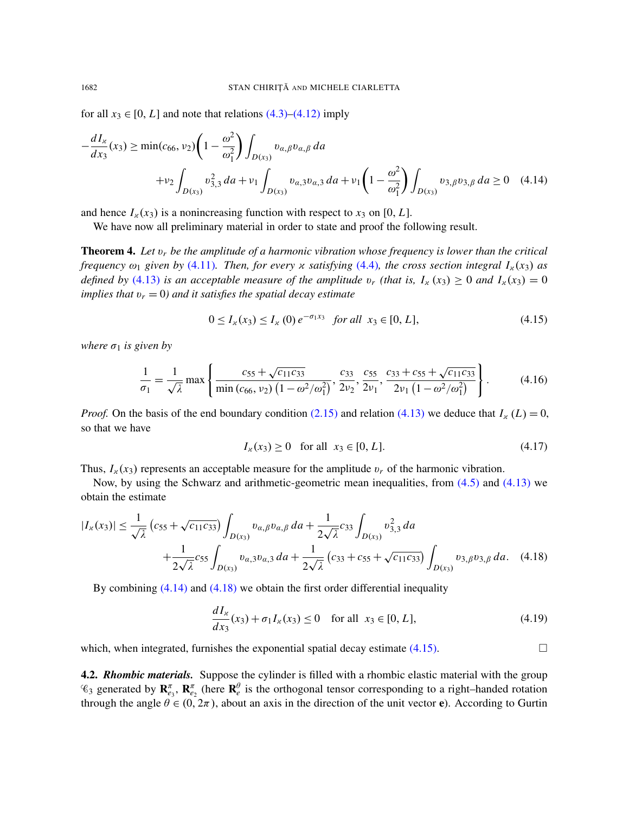for all  $x_3 \in [0, L]$  and note that relations  $(4.3)$ – $(4.12)$  imply

$$
-\frac{dI_x}{dx_3}(x_3) \ge \min(c_{66}, \nu_2) \left(1 - \frac{\omega^2}{\omega_1^2}\right) \int_{D(x_3)} v_{\alpha,\beta} v_{\alpha,\beta} da
$$
  
+ $\nu_2 \int_{D(x_3)} v_{3,3}^2 da + \nu_1 \int_{D(x_3)} v_{\alpha,3} v_{\alpha,3} da + \nu_1 \left(1 - \frac{\omega^2}{\omega_1^2}\right) \int_{D(x_3)} v_{3,\beta} v_{3,\beta} da \ge 0$  (4.14)

and hence  $I_{\varkappa}(x_3)$  is a nonincreasing function with respect to  $x_3$  on [0, *L*].

We hav[e now a](#page-7-3)ll preliminary material in orde[r to st](#page-7-0)ate and proof the following result.

[Theo](#page-7-4)rem 4. *Let* v*<sup>r</sup> be the amplitude of a harmonic vibration whose frequency is lower than the critical frequency*  $\omega_1$  *given by* (4.11)*. Then, for every* x *satisfying* (4.4)*, the cross section integral*  $I_x(x_3)$  *as defined by* (4.13) *is an acceptable measure of the amplitude*  $v_r$  *(that is,*  $I_x(x_3) \ge 0$  *and*  $I_x(x_3) = 0$ *implies that*  $v_r = 0$ *) and it satisfies the spatial decay estimate* 

<span id="page-8-1"></span>
$$
0 \le I_x(x_3) \le I_x(0) e^{-\sigma_1 x_3} \quad \text{for all} \quad x_3 \in [0, L], \tag{4.15}
$$

<span id="page-8-3"></span>*where*  $\sigma_1$  *is given by* 

$$
\frac{1}{\sigma_1} = \frac{1}{\sqrt{\lambda}} \max \left\{ \frac{c_{55} + \sqrt{c_{11}c_{33}}}{\min (c_{66}, \nu_2) (1 - \omega^2/\omega_1^2)}, \frac{c_{33}}{2\nu_2}, \frac{c_{55}}{2\nu_1}, \frac{c_{33} + c_{55} + \sqrt{c_{11}c_{33}}}{2\nu_1 (1 - \omega^2/\omega_1^2)} \right\}.
$$
(4.16)

*Proof.* On the basis of the end boundary condition (2.15) and relation (4.13) we deduce that  $I_{\alpha}(L) = 0$ , so that we have

$$
I_{\kappa}(x_3) \ge 0 \quad \text{for all} \ \ x_3 \in [0, L]. \tag{4.17}
$$

<span id="page-8-0"></span>Thus,  $I_{\kappa}(x_3)$  represents an acceptable measure for the amplitude  $v_r$  of the harmonic vibration.

Now, by using the Schwarz and arithmetic-geometric mean inequalities, from (4.5) and (4.13) we obtain the estimate

$$
|I_{\varkappa}(x_3)| \leq \frac{1}{\sqrt{\lambda}} \left( c_{55} + \sqrt{c_{11} c_{33}} \right) \int_{D(x_3)} v_{\alpha,\beta} v_{\alpha,\beta} da + \frac{1}{2\sqrt{\lambda}} c_{33} \int_{D(x_3)} v_{3,3}^2 da + \frac{1}{2\sqrt{\lambda}} c_{55} \int_{D(x_3)} v_{\alpha,3} v_{\alpha,3} da + \frac{1}{2\sqrt{\lambda}} \left( c_{33} + c_{55} + \sqrt{c_{11} c_{33}} \right) \int_{D(x_3)} v_{3,\beta} v_{3,\beta} da. \tag{4.18}
$$

By combining (4.14) and (4.18) we obtain the first order differential inequality

$$
\frac{dI_x}{dx_3}(x_3) + \sigma_1 I_x(x_3) \le 0 \quad \text{for all} \ \ x_3 \in [0, L], \tag{4.19}
$$

<span id="page-8-2"></span>which, when integrated, furnishes the exponential spatial decay estimate  $(4.15)$ .

4.2. *Rhombic materials.* Suppose the cylinder is filled with a rhombic elastic material with the group  $\mathscr{C}_3$  generated by  $\mathbf{R}_{e_3}^{\pi}$ ,  $\mathbf{R}_{e_2}^{\pi}$  (here  $\mathbf{R}_{e_3}^{\theta}$  is the orthogonal tensor corresponding to a right–handed rotation through the angle  $\theta \in (0, 2\pi)$ , about an axis in the direction of the unit vector e). According to Gurtin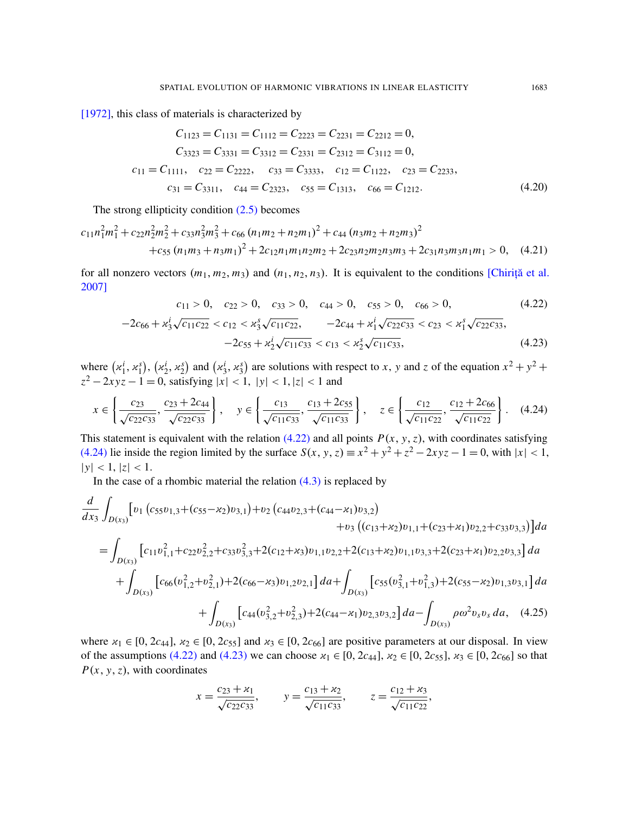[1972], this class of materials is characterized by

$$
C_{1123} = C_{1131} = C_{1112} = C_{2223} = C_{2231} = C_{2212} = 0,
$$
  
\n
$$
C_{3323} = C_{3331} = C_{3312} = C_{2331} = C_{2312} = C_{3112} = 0,
$$
  
\n
$$
c_{11} = C_{1111}, \quad c_{22} = C_{2222}, \quad c_{33} = C_{3333}, \quad c_{12} = C_{1122}, \quad c_{23} = C_{2233},
$$
  
\n
$$
c_{31} = C_{3311}, \quad c_{44} = C_{2323}, \quad c_{55} = C_{1313}, \quad c_{66} = C_{1212}.
$$
\n(4.20)

The strong ellipticity condition  $(2.5)$  becomes

$$
c_{11}n_1^2m_1^2 + c_{22}n_2^2m_2^2 + c_{33}n_3^2m_3^2 + c_{66}(n_1m_2 + n_2m_1)^2 + c_{44}(n_3m_2 + n_2m_3)^2
$$
  
+ 
$$
c_{55}(n_1m_3 + n_3m_1)^2 + 2c_{12}n_1m_1n_2m_2 + 2c_{23}n_2m_2n_3m_3 + 2c_{31}n_3m_3n_1m_1 > 0, \quad (4.21)
$$

for all nonzero vectors  $(m_1, m_2, m_3)$  and  $(n_1, n_2, n_3)$ . It is equivalent to the conditions [Chirita et al. 2007]

<span id="page-9-1"></span>
$$
c_{11} > 0, \quad c_{22} > 0, \quad c_{33} > 0, \quad c_{44} > 0, \quad c_{55} > 0, \quad c_{66} > 0,\tag{4.22}
$$

$$
-2c_{66} + \varkappa_3^i \sqrt{c_{11}c_{22}} < c_{12} < \varkappa_3^s \sqrt{c_{11}c_{22}}, \qquad -2c_{44} + \varkappa_1^i \sqrt{c_{22}c_{33}} < c_{23} < \varkappa_1^s \sqrt{c_{22}c_{33}}, \\
-2c_{55} + \varkappa_2^i \sqrt{c_{11}c_{33}} < c_{13} < \varkappa_2^s \sqrt{c_{11}c_{33}},\n\tag{4.23}
$$

where  $(x_1^i, x_1^s)$ ,  $(x_2^i, x_2^s)$  and  $(x_3^i, x_3^s)$  are solutions with respect to *x*, *y* and *z* of the equation  $x^2 + y^2 +$  $z^2 - 2xyz - 1 = 0$ , satisfying  $|x| < 1$ ,  $|y| < 1$ ,  $|z| < 1$  and

$$
x \in \left\{ \frac{c_{23}}{\sqrt{c_{22}c_{33}}}, \frac{c_{23} + 2c_{44}}{\sqrt{c_{22}c_{33}}} \right\}, \quad y \in \left\{ \frac{c_{13}}{\sqrt{c_{11}c_{33}}}, \frac{c_{13} + 2c_{55}}{\sqrt{c_{11}c_{33}}} \right\}, \quad z \in \left\{ \frac{c_{12}}{\sqrt{c_{11}c_{22}}}, \frac{c_{12} + 2c_{66}}{\sqrt{c_{11}c_{22}}} \right\}. \tag{4.24}
$$

This statement is equivalent with the relation  $(4.22)$  and all points  $P(x, y, z)$ , with coordinates satisfying (4.24) lie inside the region limited b[y the](#page-7-1) surface  $S(x, y, z) \equiv x^2 + y^2 + z^2 - 2xyz - 1 = 0$ , with  $|x| < 1$ ,  $|y| < 1, |z| < 1.$ 

In the case of a rhombic material the relation  $(4.3)$  is replaced by

$$
\frac{d}{dx_3} \int_{D(x_3)} \left[ v_1 \left( c_{55} v_{1,3} + (c_{55} - x_2) v_{3,1} \right) + v_2 \left( c_{44} v_{2,3} + (c_{44} - x_1) v_{3,2} \right) \right. \\
\left. + v_3 \left( (c_{13} + x_2) v_{1,1} + (c_{23} + x_1) v_{2,2} + c_{33} v_{3,3} \right) \right] da
$$
\n
$$
= \int_{D(x_3)} \left[ c_{11} v_{1,1}^2 + c_{22} v_{2,2}^2 + c_{33} v_{3,3}^2 + 2 (c_{12} + x_3) v_{1,1} v_{2,2} + 2 (c_{13} + x_2) v_{1,1} v_{3,3} + 2 (c_{23} + x_1) v_{2,2} v_{3,3} \right] da
$$
\n
$$
+ \int_{D(x_3)} \left[ c_{66} (v_{1,2}^2 + v_{2,1}^2) + 2 (c_{66} - x_3) v_{1,2} v_{2,1} \right] da + \int_{D(x_3)} \left[ c_{55} (v_{3,1}^2 + v_{1,3}^2) + 2 (c_{55} - x_2) v_{1,3} v_{3,1} \right] da
$$
\n
$$
+ \int_{D(x_3)} \left[ c_{44} (v_{3,2}^2 + v_{2,3}^2) + 2 (c_{44} - x_1) v_{2,3} v_{3,2} \right] da - \int_{D(x_3)} \rho \omega^2 v_s v_s da, \quad (4.25)
$$

where  $x_1 \in [0, 2c_{44}]$ ,  $x_2 \in [0, 2c_{55}]$  and  $x_3 \in [0, 2c_{66}]$  are positive parameters at our disposal. In view of the assumptions (4.22) and (4.23) we can choose  $x_1 \in [0, 2c_{44}]$ ,  $x_2 \in [0, 2c_{55}]$ ,  $x_3 \in [0, 2c_{66}]$  so that  $P(x, y, z)$ , with coordinates

$$
x = \frac{c_{23} + \varkappa_1}{\sqrt{c_{22}c_{33}}},
$$
  $y = \frac{c_{13} + \varkappa_2}{\sqrt{c_{11}c_{33}}},$   $z = \frac{c_{12} + \varkappa_3}{\sqrt{c_{11}c_{22}}},$ 

<span id="page-9-0"></span>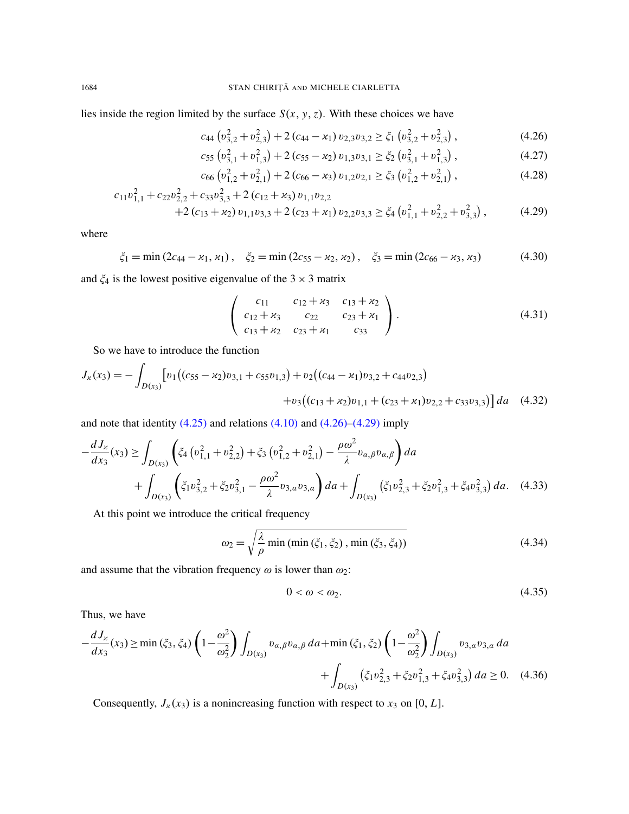lies inside the region limited by the surface  $S(x, y, z)$ . With these choices we have

<span id="page-10-0"></span>
$$
c_{44} (v_{3,2}^2 + v_{2,3}^2) + 2 (c_{44} - x_1) v_{2,3} v_{3,2} \ge \xi_1 (v_{3,2}^2 + v_{2,3}^2), \qquad (4.26)
$$

<span id="page-10-1"></span>
$$
c_{55} \left(v_{3,1}^2 + v_{1,3}^2\right) + 2\left(c_{55} - x_2\right)v_{1,3}v_{3,1} \ge \zeta_2 \left(v_{3,1}^2 + v_{1,3}^2\right),\tag{4.27}
$$

$$
c_{66} (v_{1,2}^2 + v_{2,1}^2) + 2 (c_{66} - x_3) v_{1,2} v_{2,1} \ge \zeta_3 (v_{1,2}^2 + v_{2,1}^2), \qquad (4.28)
$$

$$
c_{11}v_{1,1}^{2} + c_{22}v_{2,2}^{2} + c_{33}v_{3,3}^{2} + 2(c_{12} + x_{3})v_{1,1}v_{2,2}
$$
  
+2(c\_{13} + x\_{2})v\_{1,1}v\_{3,3} + 2(c\_{23} + x\_{1})v\_{2,2}v\_{3,3} \ge \xi\_{4} (v\_{1,1}^{2} + v\_{2,2}^{2} + v\_{3,3}^{2}), \t(4.29)

where

$$
\xi_1 = \min(2c_{44} - \varkappa_1, \varkappa_1), \quad \xi_2 = \min(2c_{55} - \varkappa_2, \varkappa_2), \quad \xi_3 = \min(2c_{66} - \varkappa_3, \varkappa_3) \tag{4.30}
$$

and  $\zeta_4$  is the lowest positive eigenvalue of the  $3 \times 3$  matrix

<span id="page-10-2"></span>
$$
\begin{pmatrix} c_{11} & c_{12} + x_3 & c_{13} + x_2 \ c_{12} + x_3 & c_{22} & c_{23} + x_1 \ c_{13} + x_2 & c_{23} + x_1 & c_{33} \end{pmatrix}.
$$
 (4.31)

So we have to introduce the function

$$
J_{\kappa}(x_3) = -\int_{D(x_3)} \left[ v_1 \left( (c_{55} - x_2) v_{3,1} + c_{55} v_{1,3} \right) + v_2 \left( (c_{44} - x_1) v_{3,2} + c_{44} v_{2,3} \right) \right. \\ \left. + v_3 \left( (c_{13} + x_2) v_{1,1} + (c_{23} + x_1) v_{2,2} + c_{33} v_{3,3} \right) \right] da \quad (4.32)
$$

and note that identity  $(4.25)$  and relations  $(4.10)$  and  $(4.26)$ – $(4.29)$  imply

$$
-\frac{dJ_x}{dx_3}(x_3) \ge \int_{D(x_3)} \left( \xi_4 \left( v_{1,1}^2 + v_{2,2}^2 \right) + \xi_3 \left( v_{1,2}^2 + v_{2,1}^2 \right) - \frac{\rho \omega^2}{\lambda} v_{\alpha,\beta} v_{\alpha,\beta} \right) da + \int_{D(x_3)} \left( \xi_1 v_{3,2}^2 + \xi_2 v_{3,1}^2 - \frac{\rho \omega^2}{\lambda} v_{3,\alpha} v_{3,\alpha} \right) da + \int_{D(x_3)} \left( \xi_1 v_{2,3}^2 + \xi_2 v_{1,3}^2 + \xi_4 v_{3,3}^2 \right) da. \tag{4.33}
$$

At this point we introduce the critical frequency

<span id="page-10-4"></span>
$$
\omega_2 = \sqrt{\frac{\lambda}{\rho} \min (\min (\xi_1, \xi_2), \min (\xi_3, \xi_4))}
$$
(4.34)

<span id="page-10-3"></span>and assume that the vibration frequency  $\omega$  is lower than  $\omega_2$ :

$$
0 < \omega < \omega_2. \tag{4.35}
$$

Thus, we have

$$
-\frac{dJ_x}{dx_3}(x_3) \ge \min\left(\xi_3, \xi_4\right) \left(1 - \frac{\omega^2}{\omega_2^2}\right) \int_{D(x_3)} v_{\alpha,\beta} v_{\alpha,\beta} da + \min\left(\xi_1, \xi_2\right) \left(1 - \frac{\omega^2}{\omega_2^2}\right) \int_{D(x_3)} v_{3,\alpha} v_{3,\alpha} da + \int_{D(x_3)} \left(\xi_1 v_{2,3}^2 + \xi_2 v_{1,3}^2 + \xi_4 v_{3,3}^2\right) da \ge 0. \tag{4.36}
$$

Consequently,  $J_{\kappa}(x_3)$  is a nonincreasing function with respect to  $x_3$  on [0, *L*].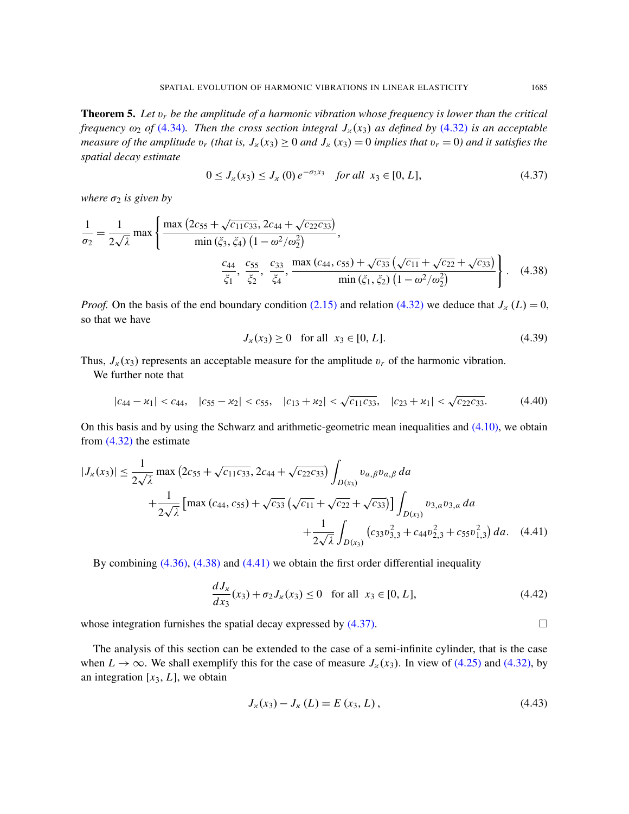<span id="page-11-0"></span>Theorem 5. *Let* v*<sup>r</sup> be the amplitude of a harmonic vibration whose frequency is lower than the critical frequency*  $\omega_2$  *of* (4.34). Then the cross section integral  $J_{\chi}(x_3)$  *as defined by* (4.32) *is an acceptable measure of the amplitude*  $v_r$  (that is,  $J_\chi(x_3) \ge 0$  and  $J_\chi(x_3) = 0$  implies that  $v_r = 0$ ) and it satisfies the *spatial decay estimate*

$$
0 \le J_{\kappa}(x_3) \le J_{\kappa}(0) e^{-\sigma_2 x_3} \quad \text{for all} \ \ x_3 \in [0, L], \tag{4.37}
$$

<span id="page-11-1"></span>*where*  $\sigma_2$  *is given by* 

$$
\frac{1}{\sigma_2} = \frac{1}{2\sqrt{\lambda}} \max \left\{ \frac{\max (2c_{55} + \sqrt{c_{11}c_{33}}, 2c_{44} + \sqrt{c_{22}c_{33}})}{\min (\xi_3, \xi_4) (1 - \omega^2/\omega_2^2)}, \frac{c_{44}}{\xi_1}, \frac{c_{55}}{\xi_2}, \frac{c_{33}}{\xi_4}, \frac{\max (c_{44}, c_{55}) + \sqrt{c_{33}} (\sqrt{c_{11}} + \sqrt{c_{22}} + \sqrt{c_{33}})}{\min (\xi_1, \xi_2) (1 - \omega^2/\omega_2^2)} \right\}.
$$
(4.38)

*Proof.* On the basis of the end boundary condition (2.15) and relation (4.32) we deduce that  $J_{\alpha}(L) = 0$ , so that we have

$$
J_x(x_3) \ge 0 \quad \text{for all} \ \ x_3 \in [0, L]. \tag{4.39}
$$

Thus,  $J_{\kappa}(x_3)$  represents an acceptable measure for the amplitude  $v_r$  of the harmonic vibration.

<span id="page-11-2"></span>We further note that

$$
|c_{44} - x_1| < c_{44}, \quad |c_{55} - x_2| < c_{55}, \quad |c_{13} + x_2| < \sqrt{c_{11}c_{33}}, \quad |c_{23} + x_1| < \sqrt{c_{22}c_{33}}.\tag{4.40}
$$

On this basis and by using the Schwarz and arithmetic-geometric mean inequalities and (4.10), we obtain from (4.32) the estimate

$$
|J_{\alpha}(x_3)| \leq \frac{1}{2\sqrt{\lambda}} \max\left(2c_{55} + \sqrt{c_{11}c_{33}}, 2c_{44} + \sqrt{c_{22}c_{33}}\right) \int_{D(x_3)} v_{\alpha,\beta}v_{\alpha,\beta} da
$$
  
+ 
$$
\frac{1}{2\sqrt{\lambda}} \left[\max\left(c_{44}, c_{55}\right) + \sqrt{c_{33}}\left(\sqrt{c_{11}} + \sqrt{c_{22}} + \sqrt{c_{33}}\right)\right] \int_{D(x_3)} v_{3,\alpha}v_{3,\alpha} da
$$
  
+ 
$$
\frac{1}{2\sqrt{\lambda}} \int_{D(x_3)} \left(c_{33}v_{3,3}^2 + c_{44}v_{2,3}^2 + c_{55}v_{1,3}^2\right) da. \quad (4.41)
$$

By combining (4.36), (4.38) and (4.41) we obtain the first order differential inequality

$$
\frac{dJ_x}{dx_3}(x_3) + \sigma_2 J_x(x_3) \le 0 \quad \text{for all} \ \ x_3 \in [0, L], \tag{4.42}
$$

whose integration furnishes the spatial decay expressed by  $(4.37)$ .

The analysis of this section can be extended to the case of a semi-infinite cylinder, that is the case when  $L \to \infty$ . We shall exemplify this for the case of measure  $J_{\kappa}(x_3)$ . In view of (4.25) and (4.32), by an integration  $[x_3, L]$ , we obtain

$$
J_{\kappa}(x_3) - J_{\kappa}(L) = E(x_3, L), \qquad (4.43)
$$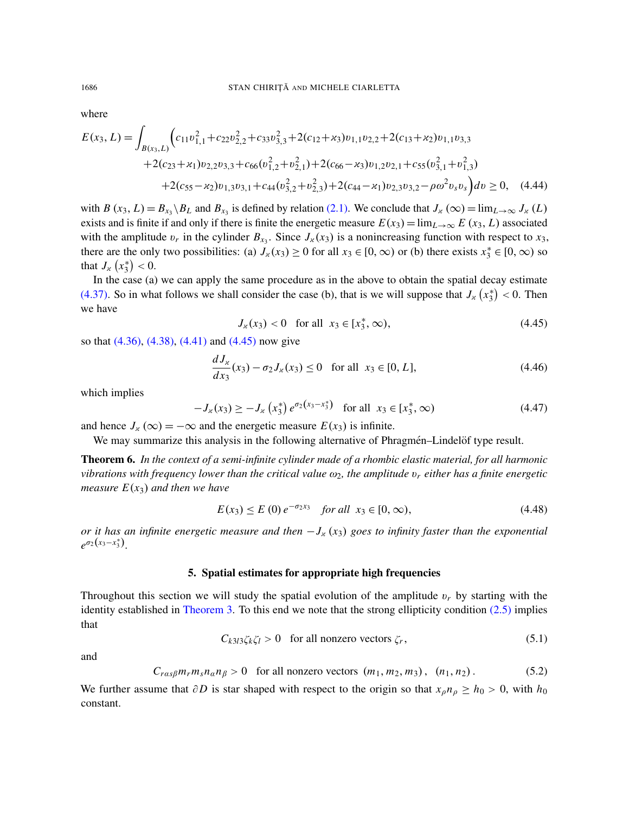where

$$
E(x_3, L) = \int_{B(x_3, L)} \left( c_{11} v_{1,1}^2 + c_{22} v_{2,2}^2 + c_{33} v_{3,3}^2 + 2(c_{12} + x_3) v_{1,1} v_{2,2} + 2(c_{13} + x_2) v_{1,1} v_{3,3} + 2(c_{23} + x_1) v_{2,2} v_{3,3} + c_{66} (v_{1,2}^2 + v_{2,1}^2) + 2(c_{66} - x_3) v_{1,2} v_{2,1} + c_{55} (v_{3,1}^2 + v_{1,3}^2) + 2(c_{55} - x_2) v_{1,3} v_{3,1} + c_{44} (v_{3,2}^2 + v_{2,3}^2) + 2(c_{44} - x_1) v_{2,3} v_{3,2} - \rho \omega^2 v_s v_s \right) dv \ge 0, \quad (4.44)
$$

with *B*  $(x_3, L) = B_{x_3} \setminus B_L$  and  $B_{x_3}$  is defined by relation (2.1). We conclude that  $J_x(\infty) = \lim_{L \to \infty} J_x(L)$ exists and is finite if and only if there is finite the energetic measure  $E(x_3) = \lim_{L \to \infty} E(x_3, L)$  associated with the amplitude  $v_r$  in the cylinder  $B_{x_3}$ . Since  $J_{\kappa}(x_3)$  is a nonincreasing function with respect to  $x_3$ , there are the only two possibilities: (a)  $J_{\alpha}(x_3) \ge 0$  for all  $x_3 \in [0, \infty)$  or (b) there exists  $x_3^* \in [0, \infty)$  so that  $J_{\kappa}$   $(x_3^*)$  $_{3}^{*}$ ) < 0.

In the case (a) we can apply the same procedure as in the above to obtain the spatial decay estimate (4.37). So in what follows we shall consider the case (b), that is we will suppose that  $J_{\alpha}$   $(x_3^*)$  $\binom{*}{3}$  < 0. Then [w](#page-10-3)[e have](#page-11-1)

$$
J_{\mathsf{x}}(x_3) < 0 \quad \text{for all} \quad x_3 \in [x_3^*, \infty), \tag{4.45}
$$

so that (4.36), (4.38), (4.41) and (4.45) now give

$$
\frac{dJ_x}{dx_3}(x_3) - \sigma_2 J_x(x_3) \le 0 \quad \text{for all} \ \ x_3 \in [0, L], \tag{4.46}
$$

which implies

$$
-J_{\varkappa}(x_3) \ge -J_{\varkappa}\left(x_3^*\right) e^{\sigma_2(x_3 - x_3^*)} \quad \text{for all} \ \ x_3 \in [x_3^*, \infty) \tag{4.47}
$$

and hence  $J_{\alpha}(\infty) = -\infty$  and the energetic measure  $E(x_3)$  is infinite.

We may summarize this analysis in the following alternative of Phragmén–Lindelöf type result.

Theorem 6. *In the context of a semi-infinite cylinder made of a rhombic elastic material, for all harmonic vibrations with frequency lower than the critical value*  $\omega_2$ , the amplitude  $v_r$  either has a finite energetic *measure*  $E(x_3)$  *and then we have* 

$$
E(x_3) \le E(0) e^{-\sigma_2 x_3} \quad \text{for all} \ \ x_3 \in [0, \infty), \tag{4.48}
$$

*or it has an infinite energetic measure and then*  $−J<sub>x</sub>(x<sub>3</sub>)$  *goes to infinity faster than the exponential*  $e^{\sigma_2(x_3-x_3^*)}$ .

#### 5. Spatial estimates for appropriate high frequenci[es](#page-3-6)

Throughout this section we will study the spatial evolution of the amplitude  $v_r$  by starting with the identity established in Theorem 3. To this end we note that the strong ellipticity condition  $(2.5)$  implies that

$$
C_{k313}\zeta_k\zeta_l > 0 \quad \text{for all nonzero vectors } \zeta_r,\tag{5.1}
$$

and

$$
C_{ras\beta}m_r m_s n_a n_\beta > 0 \quad \text{for all nonzero vectors } (m_1, m_2, m_3), \ (n_1, n_2). \tag{5.2}
$$

We further assume that  $\partial D$  is star shaped with respect to the origin so that  $x_{\rho}n_{\rho} \geq h_0 > 0$ , with  $h_0$ constant.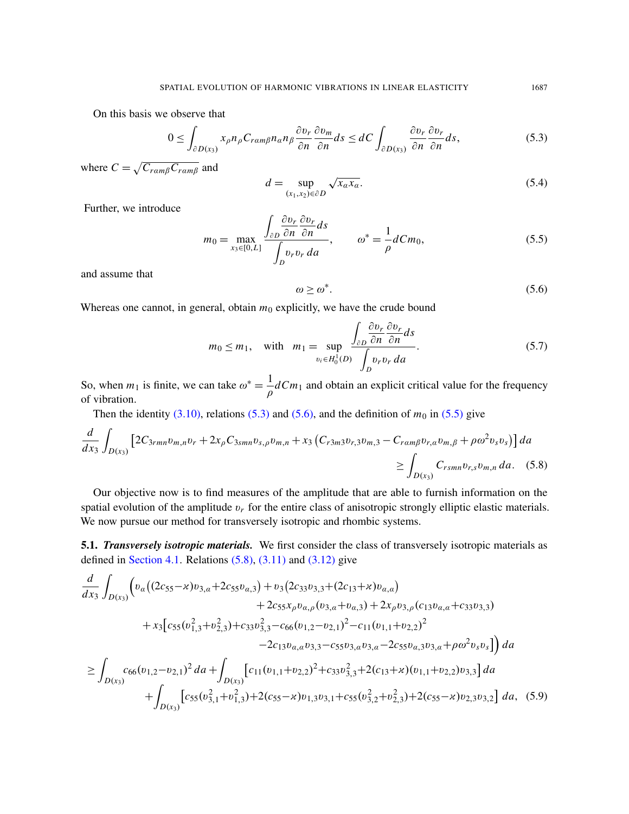On this basis we observe that

<span id="page-13-0"></span>
$$
0 \leq \int_{\partial D(x_3)} x_{\rho} n_{\rho} C_{ramp} n_{\alpha} n_{\beta} \frac{\partial v_r}{\partial n} \frac{\partial v_m}{\partial n} ds \leq dC \int_{\partial D(x_3)} \frac{\partial v_r}{\partial n} \frac{\partial v_r}{\partial n} ds,
$$
 (5.3)

<span id="page-13-2"></span>where  $C = \sqrt{C_{r \alpha m \beta} C_{r \alpha m \beta}}$  and

$$
d = \sup_{(x_1, x_2) \in \partial D} \sqrt{x_a x_a}.
$$
 (5.4)

<span id="page-13-1"></span>Further, we introduce

$$
m_0 = \max_{x_3 \in [0,L]} \frac{\int_{\partial D} \frac{\partial v_r}{\partial n} \frac{\partial v_r}{\partial n} ds}{\int_{D} v_r v_r da}, \qquad \omega^* = \frac{1}{\rho} dC m_0,
$$
\n(5.5)

and assume that

<span id="page-13-3"></span>
$$
\omega \ge \omega^*.\tag{5.6}
$$

Whereas one cannot, in general, obtain  $m_0$  explicitly, we have the crude bound

<span id="page-13-4"></span>
$$
m_0 \le m_1, \quad \text{with} \quad m_1 = \sup_{v_i \in H_0^1(D)} \frac{\int_{\partial D} \frac{\partial v_r}{\partial n} \frac{\partial v_r}{\partial n} ds}{\int_D v_r v_r \, da}.
$$
 (5.7)

So, when  $m_1$  $m_1$  is finite, [we can](#page-13-0) take  $\omega^* = \frac{1}{2}$  $\frac{1}{\rho}$  *dCm*<sub>1</sub> and obtain an ex[plicit c](#page-13-2)ritical value for the frequency of vibration.

Then the identity  $(3.10)$ , relations  $(5.3)$  and  $(5.6)$ , and the definition of  $m_0$  in  $(5.5)$  give

$$
\frac{d}{dx_3} \int_{D(x_3)} \left[ 2C_{3rmn}v_{m,n}v_r + 2x_{\rho}C_{3smn}v_{s,\rho}v_{m,n} + x_3 \left( C_{r3m3}v_{r,3}v_{m,3} - C_{ram\beta}v_{r,\alpha}v_{m,\beta} + \rho \omega^2 v_s v_s \right) \right] da
$$
\n
$$
\geq \int_{D(x_3)} C_{rsmn}v_{r,s}v_{m,n} da. \quad (5.8)
$$

Our objective now is to find measures of the amplitude that are able to furnish information on the spatial evolution of the amplitude v*<sup>r</sup>* for the entire class of anisotropic strongly elliptic elastic materials. [We now p](#page-6-3)ursue our [metho](#page-13-3)[d for tr](#page-6-0)ans[versely](#page-6-1) isotropic and rhombic systems.

5.1. *Transversely isotropic materials.* We first consider the class of transversely isotropic materials as defined in Section 4.1. Relations  $(5.8)$ ,  $(3.11)$  and  $(3.12)$  give

$$
\frac{d}{dx_3} \int_{D(x_3)} \left( v_a \left( (2c_{55} - x) v_{3,a} + 2c_{55} v_{a,3} \right) + v_3 \left( 2c_{33} v_{3,3} + (2c_{13} + x) v_{a,a} \right) \right. \\
\left. + 2c_{55} x_\rho v_{a,\rho} (v_{3,a} + v_{a,3}) + 2x_\rho v_{3,\rho} (c_{13} v_{a,a} + c_{33} v_{3,3}) \right. \\
\left. + x_3 \left[ c_{55} (v_{1,3}^2 + v_{2,3}^2) + c_{33} v_{3,3}^2 - c_{66} (v_{1,2} - v_{2,1})^2 - c_{11} (v_{1,1} + v_{2,2})^2 \right. \\
\left. - 2c_{13} v_{a,a} v_{3,3} - c_{55} v_{3,a} v_{3,a} - 2c_{55} v_{a,3} v_{3,a} + \rho \omega^2 v_s v_s \right] \right) da
$$
\n
$$
\geq \int_{D(x_3)} c_{66} (v_{1,2} - v_{2,1})^2 da + \int_{D(x_3)} \left[ c_{11} (v_{1,1} + v_{2,2})^2 + c_{33} v_{3,3}^2 + 2(c_{13} + x) (v_{1,1} + v_{2,2}) v_{3,3} \right] da + \int_{D(x_3)} \left[ c_{55} (v_{3,1}^2 + v_{1,3}^2) + 2(c_{55} - x) v_{1,3} v_{3,1} + c_{55} (v_{3,2}^2 + v_{2,3}^2) + 2(c_{55} - x) v_{2,3} v_{3,2} \right] da, (5.9)
$$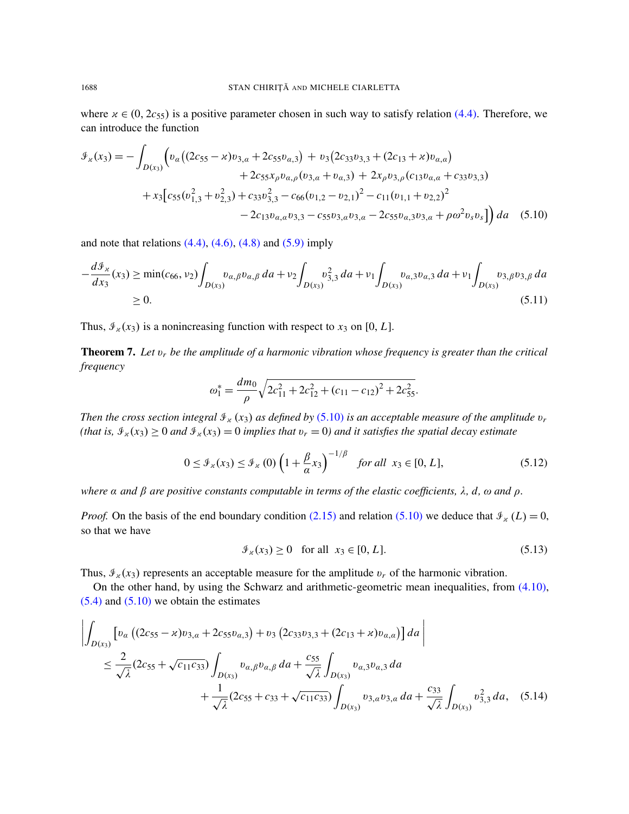<span id="page-14-0"></span>where  $x \in (0, 2c_{55})$  is a positive parameter chosen in such way to satisfy relation (4.4). Therefore, we can introduce the function

$$
\mathcal{J}_{\kappa}(x_3) = -\int_{D(x_3)} \left( v_{\alpha} \left( (2c_{55} - \kappa) v_{3,\alpha} + 2c_{55} v_{\alpha,3} \right) + v_3 \left( 2c_{33} v_{3,3} + (2c_{13} + \kappa) v_{\alpha,\alpha} \right) \right. \\ \left. + 2c_{55} \kappa_{\rho} v_{\alpha,\rho} (v_{3,\alpha} + v_{\alpha,3}) + 2\kappa_{\rho} v_{3,\rho} (c_{13} v_{\alpha,\alpha} + c_{33} v_{3,3}) \right. \\ \left. + x_3 \left[ c_{55} (v_{1,3}^2 + v_{2,3}^2) + c_{33} v_{3,3}^2 - c_{66} (v_{1,2} - v_{2,1})^2 - c_{11} (v_{1,1} + v_{2,2})^2 \right. \\ \left. - 2c_{13} v_{\alpha,\alpha} v_{3,3} - c_{55} v_{3,\alpha} v_{3,\alpha} - 2c_{55} v_{\alpha,3} v_{3,\alpha} + \rho \omega^2 v_s v_s \right] \right) da \quad (5.10)
$$

and note that relations  $(4.4)$ ,  $(4.6)$ ,  $(4.8)$  and  $(5.9)$  imply

$$
-\frac{d\mathcal{I}_x}{dx_3}(x_3) \ge \min(c_{66}, \nu_2) \int_{D(x_3)} v_{\alpha,\beta} v_{\alpha,\beta} da + \nu_2 \int_{D(x_3)} v_{3,3}^2 da + \nu_1 \int_{D(x_3)} v_{\alpha,3} v_{\alpha,3} da + \nu_1 \int_{D(x_3)} v_{3,\beta} v_{3,\beta} da
$$
  
 
$$
\ge 0.
$$
 (5.11)

Thus,  $\mathcal{I}_\varkappa(x_3)$  is a nonincreasing function with respect to  $x_3$  on [0, *L*].

Theorem 7. *Let* v*<sup>r</sup> be the amplitude of a harmonic vibration whose frequency is greater than the critical frequency*

<span id="page-14-2"></span><span id="page-14-1"></span>
$$
\omega_1^* = \frac{dm_0}{\rho} \sqrt{2c_{11}^2 + 2c_{12}^2 + (c_{11} - c_{12})^2 + 2c_{55}^2}.
$$

*Then the cross section integral*  $\mathcal{I}_x(x_3)$  *as defined by* (5.10) *is an acceptable measure of the amplitude*  $v_r$ *(that is,*  $\mathcal{I}_x(x_3) \ge 0$  *and*  $\mathcal{I}_x(x_3) = 0$  *implies that*  $v_r = 0$ *) and it satisfies the spatial decay estimate* 

$$
0 \le \mathcal{I}_\varkappa(x_3) \le \mathcal{I}_\varkappa(0) \left(1 + \frac{\beta}{\alpha} x_3\right)^{-1/\beta} \quad \text{for all } x_3 \in [0, L], \tag{5.12}
$$

*where* α *and* β *are positive constants [comput](#page-3-5)able in term[s of the](#page-14-0) elastic coefficients,* λ*, d,* ω *and* ρ*.*

*Proof.* On the basis of the end boundary condition (2.15) and relation (5.10) we deduce that  $\mathcal{I}_x(L) = 0$ , so that we have

$$
\mathcal{I}_\varkappa(x_3) \ge 0 \quad \text{for all} \quad x_3 \in [0, L]. \tag{5.13}
$$

[Thu](#page-14-0)s,  $\mathcal{I}_\chi(x_3)$  represents an acceptable measure for the amplitude  $v_r$  of the harmonic vibration.

On the other hand, by using the Schwarz and arithmetic-geometric mean inequalities, from (4.10),  $(5.4)$  and  $(5.10)$  we obtain the estimates

$$
\left| \int_{D(x_3)} \left[ v_a \left( (2c_{55} - x) v_{3,a} + 2c_{55} v_{a,3} \right) + v_3 \left( 2c_{33} v_{3,3} + (2c_{13} + x) v_{a,a} \right) \right] da \right|
$$
  
\n
$$
\leq \frac{2}{\sqrt{\lambda}} (2c_{55} + \sqrt{c_{11}c_{33}}) \int_{D(x_3)} v_{a,\beta} v_{a,\beta} da + \frac{c_{55}}{\sqrt{\lambda}} \int_{D(x_3)} v_{a,3} v_{a,3} da + \frac{c_{33}}{\sqrt{\lambda}} \int_{D(x_3)} v_{3,a}^2 da + \frac{c_{33}}{\sqrt{\lambda}} \int_{D(x_3)} v_{3,3}^2 da, \quad (5.14)
$$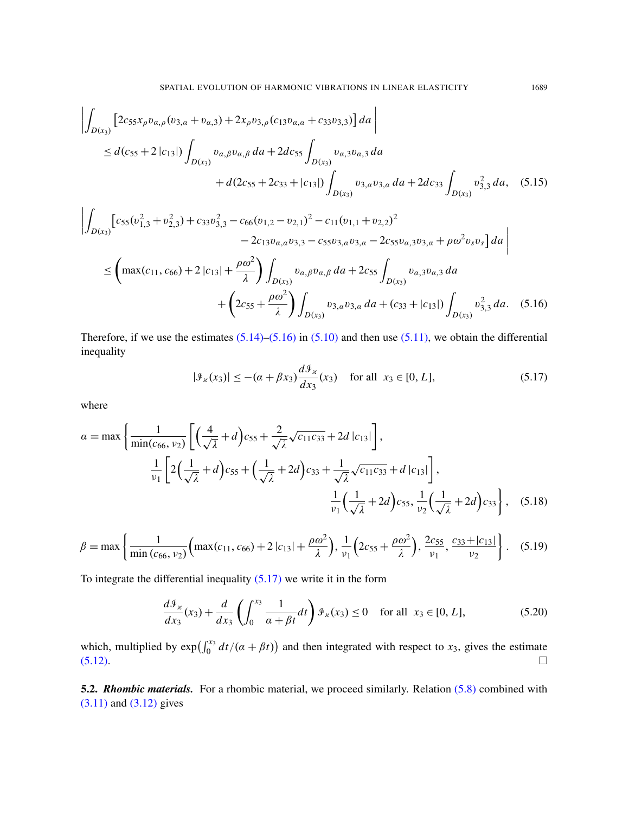$$
\left| \int_{D(x_3)} \left[ 2c_{55}x_{\rho}v_{\alpha,\rho}(v_{3,\alpha} + v_{\alpha,3}) + 2x_{\rho}v_{3,\rho}(c_{13}v_{\alpha,\alpha} + c_{33}v_{3,3}) \right] da \right|
$$
  
\n
$$
\leq d(c_{55} + 2 |c_{13}|) \int_{D(x_3)} v_{\alpha,\beta}v_{\alpha,\beta} da + 2dc_{55} \int_{D(x_3)} v_{\alpha,3}v_{\alpha,3} da
$$
  
\n
$$
+ d(2c_{55} + 2c_{33} + |c_{13}|) \int_{D(x_3)} v_{3,\alpha}v_{3,\alpha} da + 2dc_{33} \int_{D(x_3)} v_{3,\alpha}^2 da, \quad (5.15)
$$

<span id="page-15-0"></span>
$$
\left| \int_{D(x_3)} \left[ c_{55}(v_{1,3}^2 + v_{2,3}^2) + c_{33}v_{3,3}^2 - c_{66}(v_{1,2} - v_{2,1})^2 - c_{11}(v_{1,1} + v_{2,2})^2 \right. \right. \\ \left. - 2c_{13}v_{\alpha,\alpha}v_{3,3} - c_{55}v_{3,\alpha}v_{3,\alpha} - 2c_{55}v_{\alpha,3}v_{3,\alpha} + \rho\omega^2 v_s v_s \right] da \right|
$$
  

$$
\leq \left( \max(c_{11}, c_{66}) + 2|c_{13}| + \frac{\rho\omega^2}{\lambda} \right) \int_{D(x_3)} v_{\alpha,\beta}v_{\alpha,\beta} da + 2c_{55} \int_{D(x_3)} v_{\alpha,3}v_{\alpha,3} da + \left( 2c_{55} + \frac{\rho\omega^2}{\lambda} \right) \int_{D(x_3)} v_{3,\alpha}v_{3,\alpha} da + (c_{33} + |c_{13}|) \int_{D(x_3)} v_{3,3}^2 da. \quad (5.16)
$$

<span id="page-15-1"></span>Therefore, if we use the estimates  $(5.14)$ – $(5.16)$  in  $(5.10)$  and then use  $(5.11)$ , we obtain the differential inequality

$$
|\mathcal{J}_\varkappa(x_3)| \le -(\alpha + \beta x_3) \frac{d\mathcal{J}_\varkappa}{dx_3}(x_3) \quad \text{for all } x_3 \in [0, L],
$$
 (5.17)

where

$$
\alpha = \max \left\{ \frac{1}{\min(c_{66}, \nu_2)} \left[ \left( \frac{4}{\sqrt{\lambda}} + d \right) c_{55} + \frac{2}{\sqrt{\lambda}} \sqrt{c_{11} c_{33}} + 2d |c_{13}| \right], \frac{1}{\nu_1} \left[ 2 \left( \frac{1}{\sqrt{\lambda}} + d \right) c_{55} + \left( \frac{1}{\sqrt{\lambda}} + 2d \right) c_{33} + \frac{1}{\sqrt{\lambda}} \sqrt{c_{11} c_{33}} + d |c_{13}| \right], \frac{1}{\nu_1} \left( \frac{1}{\sqrt{\lambda}} + 2d \right) c_{55}, \frac{1}{\nu_2} \left( \frac{1}{\sqrt{\lambda}} + 2d \right) c_{33} \right\}, \quad (5.18)
$$

$$
\beta = \max \left\{ \frac{1}{\min (c_{66}, \nu_2)} \Big( \max(c_{11}, c_{66}) + 2 |c_{13}| + \frac{\rho \omega^2}{\lambda} \Big), \frac{1}{\nu_1} \Big( 2c_{55} + \frac{\rho \omega^2}{\lambda} \Big), \frac{2c_{55}}{\nu_1}, \frac{c_{33} + |c_{13}|}{\nu_2} \right\}. \quad (5.19)
$$

To integrate the differential inequality (5.17) we write it in the form

$$
\frac{d\mathcal{I}_x}{dx_3}(x_3) + \frac{d}{dx_3} \left( \int_0^{x_3} \frac{1}{\alpha + \beta t} dt \right) \mathcal{I}_x(x_3) \le 0 \quad \text{for all } x_3 \in [0, L], \tag{5.20}
$$

which, multiplied by  $exp(\int_0^{x_3} dt/(\alpha + \beta t))$  and then integrated with [respe](#page-13-3)ct to *x*<sub>3</sub>, gives the estimate  $(5.12).$  $(5.12).$ 

5.2. *Rhombic materials.* For a rhombic material, we proceed similarly. Relation (5.8) combined with (3.11) and (3.12) gives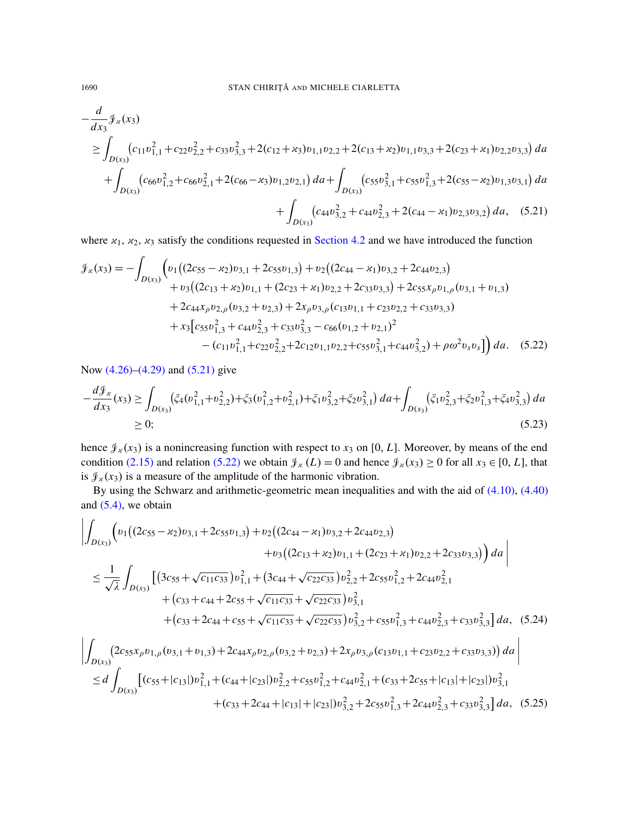$$
-\frac{d}{dx_3}\mathcal{J}_\varkappa(x_3)
$$
\n
$$
\geq \int_{D(x_3)} (c_{11}v_{1,1}^2 + c_{22}v_{2,2}^2 + c_{33}v_{3,3}^2 + 2(c_{12} + \varkappa_3)v_{1,1}v_{2,2} + 2(c_{13} + \varkappa_2)v_{1,1}v_{3,3} + 2(c_{23} + \varkappa_1)v_{2,2}v_{3,3}) da
$$
\n
$$
+ \int_{D(x_3)} (c_{66}v_{1,2}^2 + c_{66}v_{2,1}^2 + 2(c_{66} - \varkappa_3)v_{1,2}v_{2,1}) da + \int_{D(x_3)} (c_{55}v_{3,1}^2 + c_{55}v_{1,3}^2 + 2(c_{55} - \varkappa_2)v_{1,3}v_{3,1}) da
$$
\n
$$
+ \int_{D(x_3)} (c_{44}v_{3,2}^2 + c_{44}v_{2,3}^2 + 2(c_{44} - \varkappa_1)v_{2,3}v_{3,2}) da, \quad (5.21)
$$

where  $x_1, x_2, x_3$  satisfy the conditions requested in Section 4.2 and we have introduced the function

$$
\mathcal{J}_{\kappa}(x_{3}) = -\int_{D(x_{3})} \left( v_{1} \left( (2c_{55} - x_{2})v_{3,1} + 2c_{55}v_{1,3} \right) + v_{2} \left( (2c_{44} - x_{1})v_{3,2} + 2c_{44}v_{2,3} \right) \right. \\
\left. + v_{3} \left( (2c_{13} + x_{2})v_{1,1} + (2c_{23} + x_{1})v_{2,2} + 2c_{33}v_{3,3} \right) + 2c_{55}x_{\rho}v_{1,\rho}(v_{3,1} + v_{1,3}) \right. \\
\left. + 2c_{44}x_{\rho}v_{2,\rho}(v_{3,2} + v_{2,3}) + 2x_{\rho}v_{3,\rho}(c_{13}v_{1,1} + c_{23}v_{2,2} + c_{33}v_{3,3}) \right. \\
\left. + x_{3} \left[ c_{55}v_{1,3}^{2} + c_{44}v_{2,3}^{2} + c_{33}v_{3,3}^{2} - c_{66}(v_{1,2} + v_{2,1})^{2} \right. \\
\left. - (c_{11}v_{1,1}^{2} + c_{22}v_{2,2}^{2} + 2c_{12}v_{1,1}v_{2,2} + c_{55}v_{3,1}^{2} + c_{44}v_{3,2}^{2}) + \rho \omega^{2}v_{s}v_{s} \right] \right) da. \quad (5.22)
$$

Now (4.26)–(4.29) and (5.21) give

$$
-\frac{d\mathcal{J}_x}{dx_3}(x_3) \ge \int_{D(x_3)} (\xi_4(v_{1,1}^2 + v_{2,2}^2) + \xi_3(v_{1,2}^2 + v_{2,1}^2) + \xi_1 v_{3,2}^2 + \xi_2 v_{3,1}^2) \, da + \int_{D(x_3)} (\xi_1 v_{2,3}^2 + \xi_2 v_{1,3}^2 + \xi_4 v_{3,3}^2) \, da
$$
  
 
$$
\ge 0;
$$
 (5.23)

hence  $\mathcal{J}_\chi(x_3)$  is a nonincreasing function with respect to  $x_3$  on [0, *L*]. Moreover, by means of the end condition (2.15) and relation (5.22) we obtain  $\mathcal{J}_\varkappa(L) = 0$  and hence  $\mathcal{J}_\varkappa(x_3) \ge 0$  for [all](#page-11-2)  $x_3 \in [0, L]$ , that is  $\mathcal{J}_{\chi}(x_3)$  is a measure of the amplitude of the harmonic vibration.

By using the Schwarz and arithmetic-geometric mean inequalities and with the aid of (4.10), (4.40) and  $(5.4)$ , we obtain

$$
\left| \int_{D(x_3)} \left( v_1 \left( (2c_{55} - x_2) v_{3,1} + 2c_{55} v_{1,3} \right) + v_2 \left( (2c_{44} - x_1) v_{3,2} + 2c_{44} v_{2,3} \right) \right. \\ \left. + v_3 \left( (2c_{13} + x_2) v_{1,1} + (2c_{23} + x_1) v_{2,2} + 2c_{33} v_{3,3} \right) \right) da \right|
$$
\n
$$
\leq \frac{1}{\sqrt{\lambda}} \int_{D(x_3)} \left[ \left( 3c_{55} + \sqrt{c_{11}c_{33}} \right) v_{1,1}^2 + \left( 3c_{44} + \sqrt{c_{22}c_{33}} \right) v_{2,2}^2 + 2c_{55} v_{1,2}^2 + 2c_{44} v_{2,1}^2 \right. \\ \left. + \left( c_{33} + c_{44} + 2c_{55} + \sqrt{c_{11}c_{33}} + \sqrt{c_{22}c_{33}} \right) v_{3,1}^2 \right. \\ \left. + \left( c_{33} + 2c_{44} + c_{55} + \sqrt{c_{11}c_{33}} + \sqrt{c_{22}c_{33}} \right) v_{3,2}^2 + c_{55} v_{1,3}^2 + c_{44} v_{2,3}^2 + c_{33} v_{3,3}^2 \right] da, \quad (5.24)
$$
\n
$$
\left| \int_{D(x_3)} \left( 2c_{55} x_{\rho} v_{1,\rho} (v_{3,1} + v_{1,3}) + 2c_{44} x_{\rho} v_{2,\rho} (v_{3,2} + v_{2,3}) + 2x_{\rho} v_{3,\rho} (c_{13} v_{1,1} + c_{23} v_{2,2} + c_{33} v_{3,3}) \right) da \right|
$$
\n
$$
\leq d \int_{D(x_3)} \left[ \left( c_{55} + |c_{13}| \right) v_{1,1}^2 + \left( c_{44} + |c_{23}| \right) v_{2,2}^2 + c_{55} v_{1,2}^2 + c_{44} v_{2,1}^2 + \left( c_{33} +
$$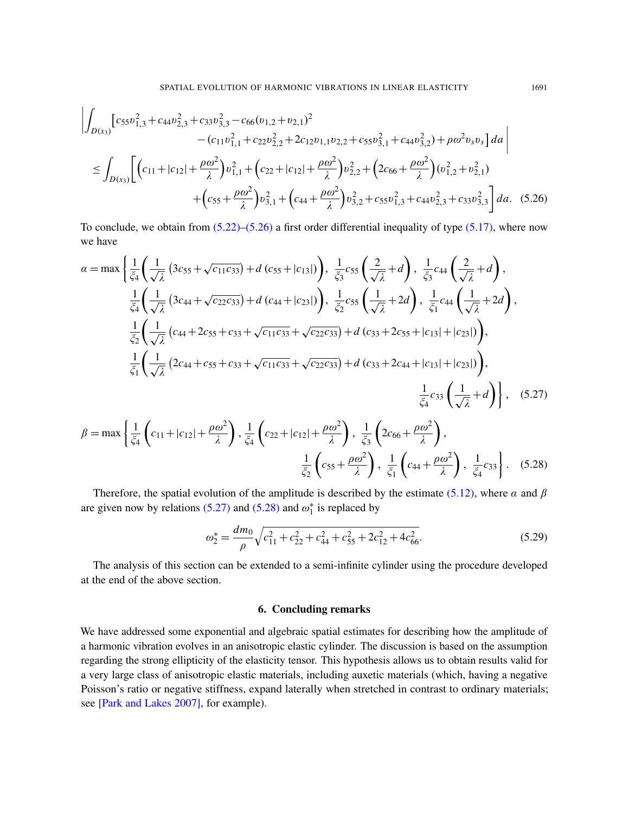<span id="page-17-0"></span>
$$
\left| \int_{D(x_3)} \left[ c_{55} v_{1,3}^2 + c_{44} v_{2,3}^2 + c_{33} v_{3,3}^2 - c_{66} (v_{1,2} + v_{2,1})^2 - (c_{11} v_{1,1}^2 + c_{22} v_{2,2}^2 + 2c_{12} v_{1,1} v_{2,2} + c_{55} v_{3,1}^2 + c_{44} v_{3,2}^2) + \rho \omega^2 v_s v_s \right] da \right|
$$
  
\n
$$
\leq \int_{D(x_3)} \left[ \left( c_{11} + |c_{12}| + \frac{\rho \omega^2}{\lambda} \right) v_{1,1}^2 + \left( c_{22} + |c_{12}| + \frac{\rho \omega^2}{\lambda} \right) v_{2,2}^2 + \left( 2c_{66} + \frac{\rho \omega^2}{\lambda} \right) (v_{1,2}^2 + v_{2,1}^2) + \left( c_{55} + \frac{\rho \omega^2}{\lambda} \right) v_{3,1}^2 + \left( c_{44} + \frac{\rho \omega^2}{\lambda} \right) v_{3,2}^2 + c_{55} v_{1,3}^2 + c_{44} v_{2,3}^2 + c_{33} v_{3,3}^2 \right] da. \quad (5.26)
$$

To conclude, we obtain from  $(5.22)$ – $(5.26)$  a first order differential inequality of type  $(5.17)$ , where now we have

$$
\alpha = \max \left\{ \frac{1}{\xi_4} \left( \frac{1}{\sqrt{\lambda}} \left( 3c_{55} + \sqrt{c_{11}c_{33}} \right) + d \left( c_{55} + |c_{13} | \right) \right), \frac{1}{\xi_3} c_{55} \left( \frac{2}{\sqrt{\lambda}} + d \right), \frac{1}{\xi_3} c_{44} \left( \frac{2}{\sqrt{\lambda}} + d \right),
$$
  
\n
$$
\frac{1}{\xi_4} \left( \frac{1}{\sqrt{\lambda}} \left( 3c_{44} + \sqrt{c_{22}c_{33}} \right) + d \left( c_{44} + |c_{23} | \right) \right), \frac{1}{\xi_2} c_{55} \left( \frac{1}{\sqrt{\lambda}} + 2d \right), \frac{1}{\xi_1} c_{44} \left( \frac{1}{\sqrt{\lambda}} + 2d \right),
$$
  
\n
$$
\frac{1}{\xi_2} \left( \frac{1}{\sqrt{\lambda}} \left( c_{44} + 2c_{55} + c_{33} + \sqrt{c_{11}c_{33}} + \sqrt{c_{22}c_{33}} \right) + d \left( c_{33} + 2c_{55} + |c_{13}| + |c_{23}| \right) \right),
$$
  
\n
$$
\frac{1}{\xi_1} \left( \frac{1}{\sqrt{\lambda}} \left( 2c_{44} + c_{55} + c_{33} + \sqrt{c_{11}c_{33}} + \sqrt{c_{22}c_{33}} \right) + d \left( c_{33} + 2c_{44} + |c_{13}| + |c_{23}| \right) \right),
$$
  
\n
$$
\frac{1}{\xi_4} c_{33} \left( \frac{1}{\sqrt{\lambda}} + d \right) \right\}, \quad (5.27)
$$
  
\n
$$
\beta = \max \left\{ \frac{1}{\xi} \left( c_{11} + |c_{12}| + \frac{\rho \omega^2}{2} \right), \frac{1}{\xi} \left( c_{22} + |c_{12}| + \frac{\rho \omega^2}{2} \right), \frac{1}{\xi} \left( 2c_{66} + \frac{\rho \omega^2}{2} \right),
$$

$$
\beta = \max \left\{ \frac{1}{\xi_4} \left( c_{11} + |c_{12}| + \frac{\rho \omega^2}{\lambda} \right), \frac{1}{\xi_4} \left( c_{22} + |c_{12}| + \frac{\rho \omega^2}{\lambda} \right), \frac{1}{\xi_3} \left( 2c_{66} + \frac{\rho \omega^2}{\lambda} \right), \frac{1}{\xi_4} \left( c_{44} + \frac{\rho \omega^2}{\lambda} \right), \frac{1}{\xi_4} c_{33} \right\}. \tag{5.28}
$$

Therefore, the spatial evolution of the amplitude is described by the estimate (5.12), where  $\alpha$  and  $\beta$ are given now by relations  $(5.27)$  and  $(5.28)$  and  $\omega_1^*$  $j_1^*$  is replaced by

$$
\omega_2^* = \frac{dm_0}{\rho} \sqrt{c_{11}^2 + c_{22}^2 + c_{44}^2 + c_{55}^2 + 2c_{12}^2 + 4c_{66}^2}.
$$
\n(5.29)

The analysis of this section can be extended to a semi-infinite cylinder using the procedure developed at the end of the above section.

#### 6. Concluding remarks

We have addressed some exponential and algebraic spatial estimates for describing how the amplitude of a harmonic vibration evolves in an anisotropic elastic cylinder. The discussion is based on the assumption regarding the strong ellipticity of the elasticity tensor. This hypothesis allows us to obtain results valid for [a very large c](#page-19-1)lass of anisotropic elastic materials, including auxetic materials (which, having a negative Poisson's ratio or negative stiffness, expand laterally when stretched in contrast to ordinary materials; see [Park and Lakes 2007], for example).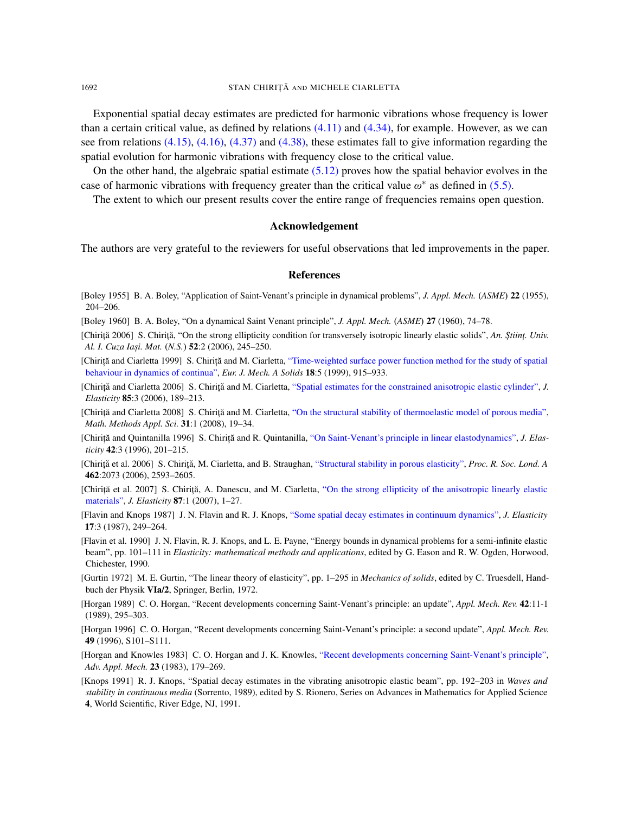Ex[ponent](#page-8-1)[ial spat](#page-8-3)i[al deca](#page-11-0)y e[stimate](#page-11-1)s are predicted for harmonic vibrations whose frequency is lower than a certain critical value, as defined by relations  $(4.11)$  and  $(4.34)$ , for example. However, as we can see from relations  $(4.15)$ ,  $(4.16)$ ,  $(4.37)$  [and](#page-14-2)  $(4.38)$ , these estimates fall to give information regarding the spatial evolution for harmonic vibrations with frequency close to the critical [value.](#page-13-2)

On the other hand, the algebraic spatial estimate  $(5.12)$  proves how the spatial behavior evolves in the case of harmonic vibrations with frequency greater than the critical value  $\omega^*$  as defined in (5.5).

The extent to which our present results cover the entire range of frequencies remains open question.

#### Acknowledgement

<span id="page-18-3"></span>The authors are very grateful to the reviewers for useful observations that led improvements in the paper.

#### References

- <span id="page-18-15"></span><span id="page-18-4"></span>[Boley 1955] B. A. Boley, "Application of Saint-Venant's principle in dynamical problems", *J. Appl. Mech.* (*ASME*) 22 (1955), 204–206.
- <span id="page-18-8"></span>[Boley 1960] B. A. Boley, "On a dynamical Saint Venant principle", *J. Appl. Mech.* (*ASME*) 27 (1960), 74–78.
- [Chiriță 2006] S. Chiriță, "On the stron[g ellipticity condition for transversely isotropic linearly elastic solids",](http://dx.doi.org/10.1016/S0997-7538(99)00121-7) An. Științ. Univ. *Al. I. Cuza Ias,i. Mat.* (*N.S.*) 52:2 (2006), 245–250.
- <span id="page-18-13"></span>[Chirită and Ciarletta 1999] S. Chirită and M. Ciarletta, ["Time-weighted surface power function method for th](http://dx.doi.org/10.1007/s10659-006-9081-1)e study of spatial behaviour in dynamics of continua", *Eur. J. Mech. A Solids* 18:5 (1999), 915–933.
- <span id="page-18-12"></span>[Chirită and Ciarletta 2006] S. Chirită and M. Ciarletta, ["Spatial estimates for the constrained anisotropic elas](http://dx.doi.org/10.1002/mma.894)tic cylinder", *J. Elasticity* 85:3 (2006), 189–213.
- <span id="page-18-10"></span>[Chirită and Ciarletta 2008] S. Chirită and M. Ciarletta, ["On the structural stability of thermoelastic m](http://dx.doi.org/10.1007/BF00041790)odel of porous media", *Math. Methods Appl. Sci.* 31:1 (2008), 19–34.
- <span id="page-18-11"></span>[Chiriță and Quintanilla 1996] S. Chiriță and R. Quintanilla, ["On Saint-Venant's princip](http://dx.doi.org/10.1098/rspa.2006.1695)le in linear elastodynamics", *J. Elasticity* 42:3 (1996), 201–215.
- <span id="page-18-14"></span>[Chiriță et al. 2006] S. Chiriță, M. Ciarletta, and B. Straughan, ["Structural stability in porous elasticity",](http://dx.doi.org/10.1007/s10659-006-9096-7) Proc. R. Soc. Lond. A 462:2073 (2006), 2593–2605.
- <span id="page-18-5"></span>[Chirită et al. 2007] S. Chirită, A. Danescu, and M. Ciarletta, ["On the strong ellipticity of the](http://dx.doi.org/10.1007/BF00049455) anisotropic linearly elastic materials", *J. Elasticity* 87:1 (2007), 1–27.
- <span id="page-18-6"></span>[Flavin and Knops 1987] J. N. Flavin and R. J. Knops, "Some spatial decay estimates in continuum dynamics", *J. Elasticity* 17:3 (1987), 249–264.
- <span id="page-18-7"></span>[Flavin et al. 1990] J. N. Flavin, R. J. Knops, and L. E. Payne, "Energy bounds in dynamical problems for a semi-infinite elastic beam", pp. 101–111 in *Elasticity: mathematical methods and applications*, edited by G. Eason and R. W. Ogden, Horwood, Chichester, 1990.
- <span id="page-18-1"></span>[Gurtin 1972] M. E. Gurtin, "The linear theory of elasticity", pp. 1–295 in *Mechanics of solids*, edited by C. Truesdell, Handbuch der Physik VIa/2, Springer, Berlin, 1972.
- <span id="page-18-2"></span>[Horgan 1989] C. O. Horgan, "Recent developments concerning Saint-Venant's principle: an update", *Appl. Mech. Rev.* 42:11-1 (1989), 295–303.
- <span id="page-18-0"></span>[Horgan 1996] C. O. Horgan, "Recent develop[ments concerning Saint-Venant's principle: a second update",](http://dx.doi.org/10.1016/S0065-2156(08)70244-8) *Appl. Mech. Rev.* 49 (1996), S101–S111.
- <span id="page-18-9"></span>[Horgan and Knowles 1983] C. O. Horgan and J. K. Knowles, "Recent developments concerning Saint-Venant's principle", *Adv. Appl. Mech.* 23 (1983), 179–269.
- [Knops 1991] R. J. Knops, "Spatial decay estimates in the vibrating anisotropic elastic beam", pp. 192–203 in *Waves and stability in continuous media* (Sorrento, 1989), edited by S. Rionero, Series on Advances in Mathematics for Applied Science 4, World Scientific, River Edge, NJ, 1991.